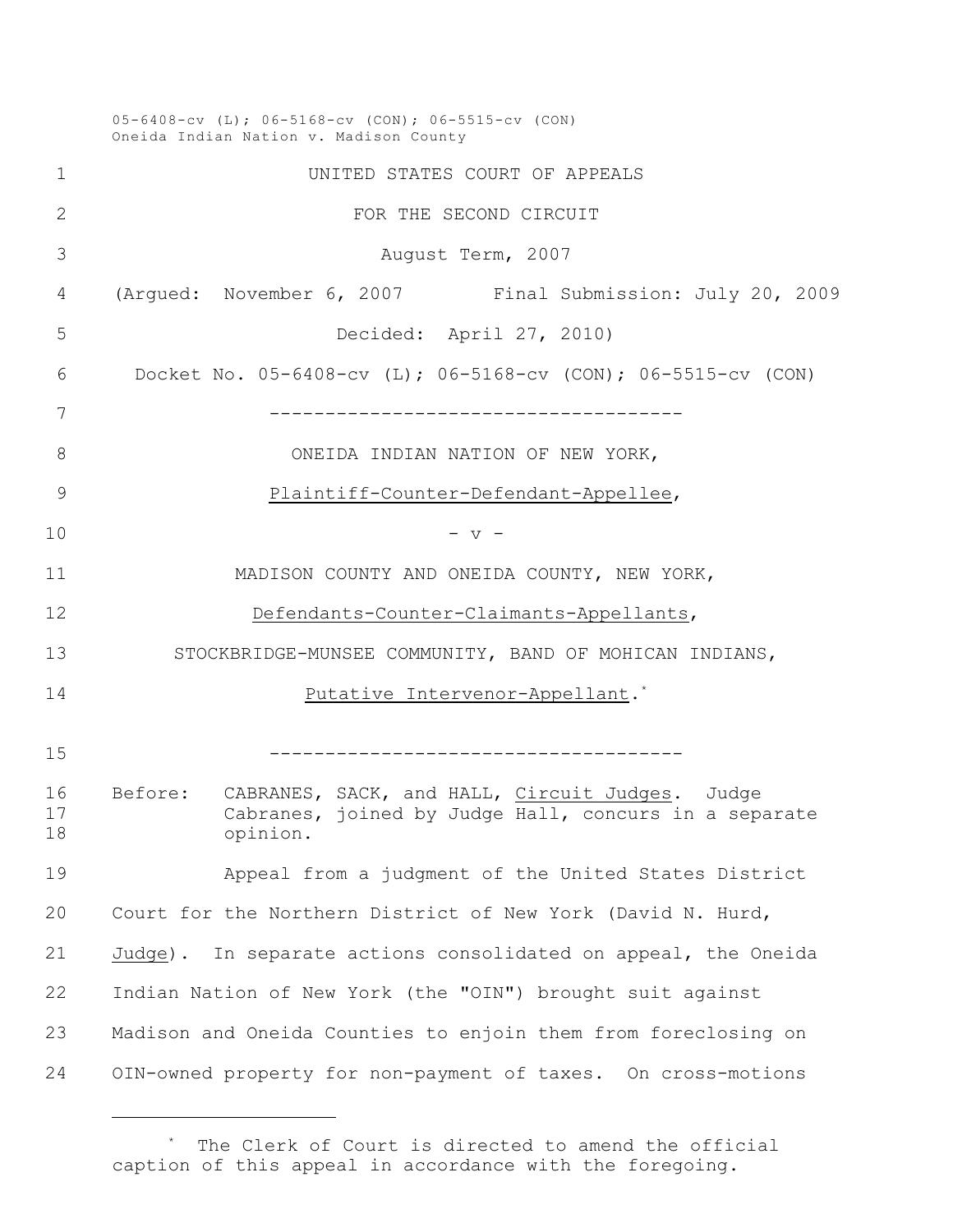05-6408-cv (L); 06-5168-cv (CON); 06-5515-cv (CON) Oneida Indian Nation v. Madison County UNITED STATES COURT OF APPEALS **FOR THE SECOND CIRCUIT**  August Term, 2007 (Argued: November 6, 2007 Final Submission: July 20, 2009 Decided: April 27, 2010) Docket No. 05-6408-cv (L); 06-5168-cv (CON); 06-5515-cv (CON) ------------------------------------- 8 ONEIDA INDIAN NATION OF NEW YORK, Plaintiff-Counter-Defendant-Appellee, - v - MADISON COUNTY AND ONEIDA COUNTY, NEW YORK, Defendants-Counter-Claimants-Appellants, STOCKBRIDGE-MUNSEE COMMUNITY, BAND OF MOHICAN INDIANS, **Putative Intervenor-Appellant.**<sup>\*</sup> ------------------------------------- Before: CABRANES, SACK, and HALL, Circuit Judges. Judge Cabranes, joined by Judge Hall, concurs in a separate opinion. Appeal from a judgment of the United States District Court for the Northern District of New York (David N. Hurd, Judge). In separate actions consolidated on appeal, the Oneida Indian Nation of New York (the "OIN") brought suit against Madison and Oneida Counties to enjoin them from foreclosing on OIN-owned property for non-payment of taxes. On cross-motions

The Clerk of Court is directed to amend the official caption of this appeal in accordance with the foregoing.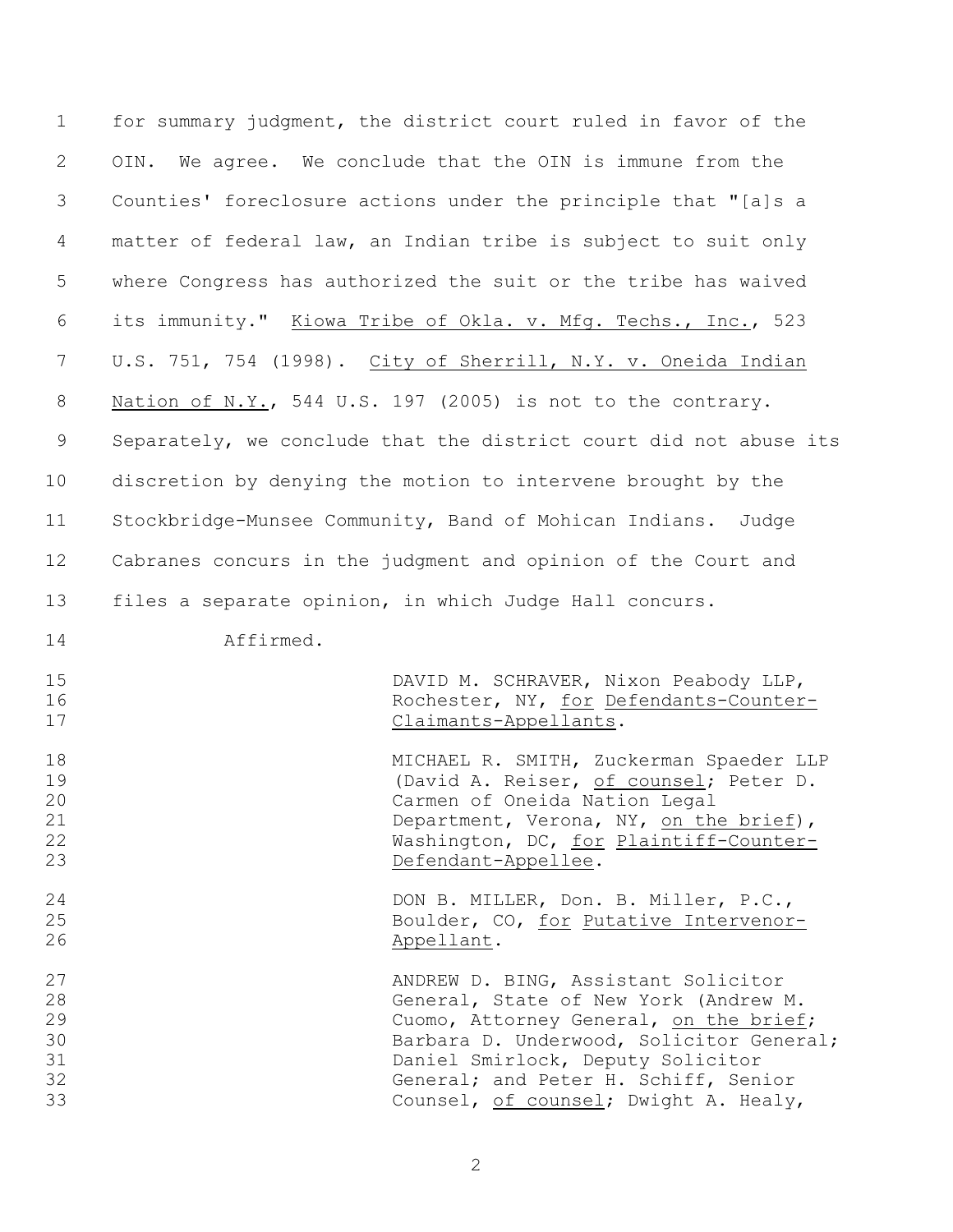| $\mathbf 1$    | for summary judgment, the district court ruled in favor of the            |
|----------------|---------------------------------------------------------------------------|
| 2              | We agree. We conclude that the OIN is immune from the<br>OIN.             |
| 3              | Counties' foreclosure actions under the principle that "[a]s a            |
| 4              | matter of federal law, an Indian tribe is subject to suit only            |
| 5              | where Congress has authorized the suit or the tribe has waived            |
| 6              | its immunity." Kiowa Tribe of Okla. v. Mfg. Techs., Inc., 523             |
| 7              | U.S. 751, 754 (1998). City of Sherrill, N.Y. v. Oneida Indian             |
| 8              | Nation of N.Y., 544 U.S. 197 (2005) is not to the contrary.               |
| 9              | Separately, we conclude that the district court did not abuse its         |
| 10             | discretion by denying the motion to intervene brought by the              |
| 11             | Stockbridge-Munsee Community, Band of Mohican Indians. Judge              |
| 12             | Cabranes concurs in the judgment and opinion of the Court and             |
| 13             | files a separate opinion, in which Judge Hall concurs.                    |
| 14             | Affirmed.                                                                 |
| 15             | DAVID M. SCHRAVER, Nixon Peabody LLP,                                     |
| 16<br>17       | Rochester, NY, for Defendants-Counter-<br>Claimants-Appellants.           |
| 18             | MICHAEL R. SMITH, Zuckerman Spaeder LLP                                   |
| 19<br>20       | (David A. Reiser, of counsel; Peter D.<br>Carmen of Oneida Nation Legal   |
| 21             | Department, Verona, NY, on the brief),                                    |
| 22             | Washington, DC, for Plaintiff-Counter-                                    |
| 23             | Defendant-Appellee.                                                       |
| 24             | DON B. MILLER, Don. B. Miller, P.C.,                                      |
| 25<br>26       | Boulder, CO, for Putative Intervenor-<br>Appellant.                       |
| 27             | ANDREW D. BING, Assistant Solicitor                                       |
|                | General, State of New York (Andrew M.                                     |
|                |                                                                           |
|                | Cuomo, Attorney General, on the brief;                                    |
| 28<br>29<br>30 | Barbara D. Underwood, Solicitor General;                                  |
| 31<br>32       | Daniel Smirlock, Deputy Solicitor<br>General; and Peter H. Schiff, Senior |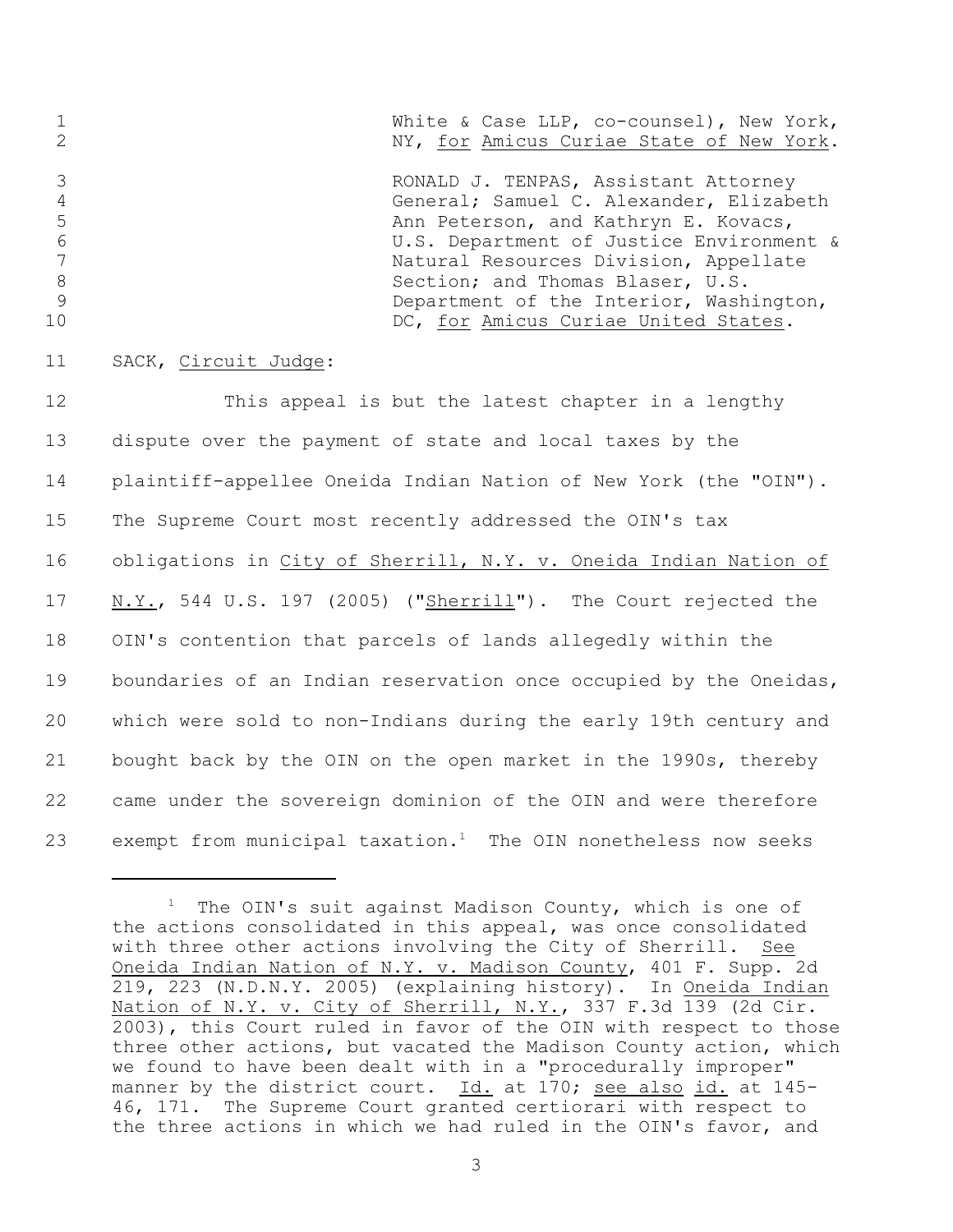|                | White & Case LLP, co-counsel), New York, |
|----------------|------------------------------------------|
|                | NY, for Amicus Curiae State of New York. |
|                | RONALD J. TENPAS, Assistant Attorney     |
|                | General; Samuel C. Alexander, Elizabeth  |
|                | Ann Peterson, and Kathryn E. Kovacs,     |
| 6              | U.S. Department of Justice Environment & |
|                | Natural Resources Division, Appellate    |
| 8              | Section; and Thomas Blaser, U.S.         |
|                | Department of the Interior, Washington,  |
| 1 <sub>0</sub> | DC, for Amicus Curiae United States.     |
|                |                                          |

11 SACK, Circuit Judge:

 This appeal is but the latest chapter in a lengthy dispute over the payment of state and local taxes by the plaintiff-appellee Oneida Indian Nation of New York (the "OIN"). The Supreme Court most recently addressed the OIN's tax obligations in City of Sherrill, N.Y. v. Oneida Indian Nation of N.Y., 544 U.S. 197 (2005) ("Sherrill"). The Court rejected the OIN's contention that parcels of lands allegedly within the boundaries of an Indian reservation once occupied by the Oneidas, which were sold to non-Indians during the early 19th century and bought back by the OIN on the open market in the 1990s, thereby came under the sovereign dominion of the OIN and were therefore 23 exempt from municipal taxation.<sup>1</sup> The OIN nonetheless now seeks

 $1$  The OIN's suit against Madison County, which is one of the actions consolidated in this appeal, was once consolidated with three other actions involving the City of Sherrill. See Oneida Indian Nation of N.Y. v. Madison County, 401 F. Supp. 2d 219, 223 (N.D.N.Y. 2005) (explaining history). In Oneida Indian Nation of N.Y. v. City of Sherrill, N.Y., 337 F.3d 139 (2d Cir. 2003), this Court ruled in favor of the OIN with respect to those three other actions, but vacated the Madison County action, which we found to have been dealt with in a "procedurally improper" manner by the district court. Id. at 170; see also id. at 145- 46, 171. The Supreme Court granted certiorari with respect to the three actions in which we had ruled in the OIN's favor, and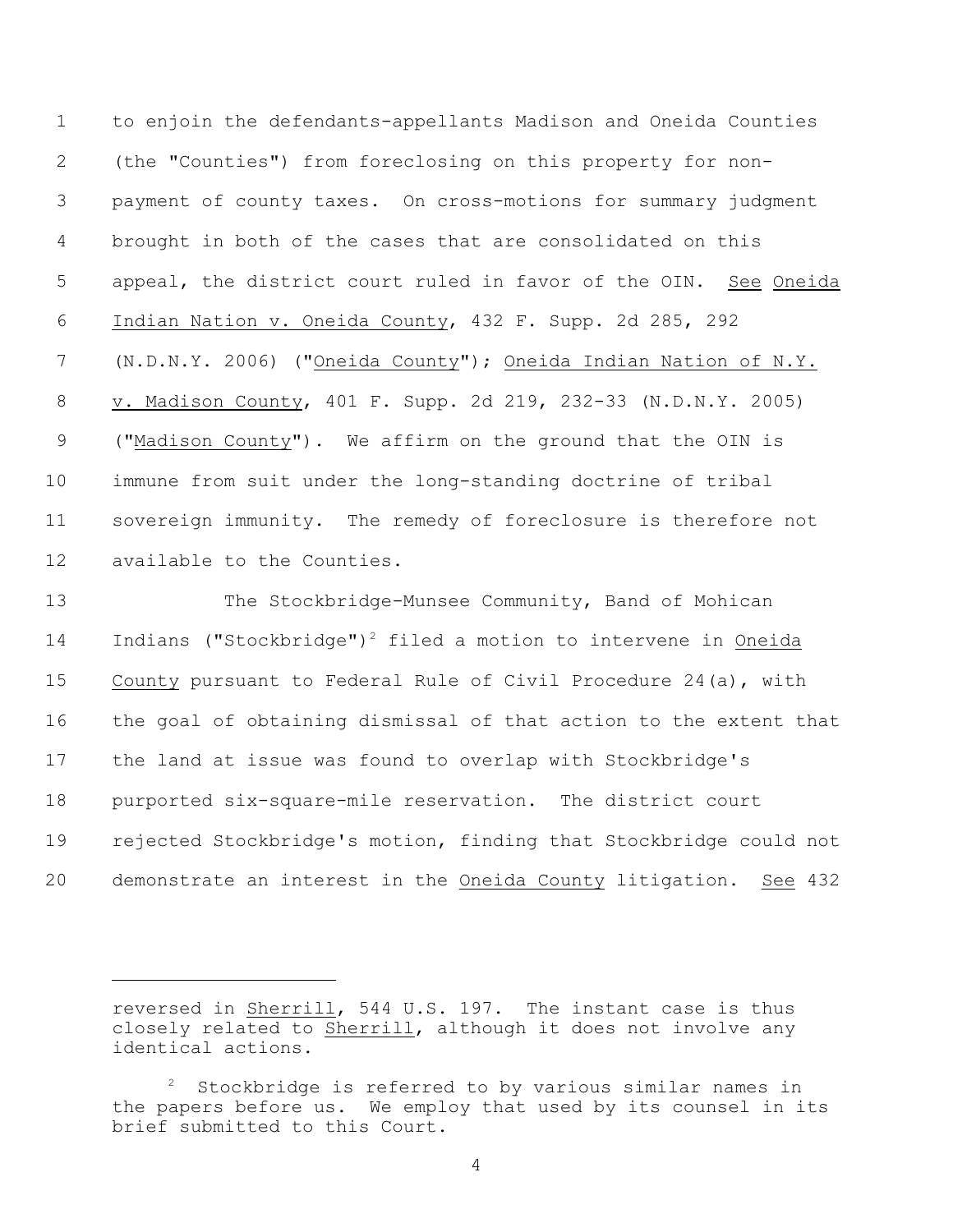to enjoin the defendants-appellants Madison and Oneida Counties (the "Counties") from foreclosing on this property for non- payment of county taxes. On cross-motions for summary judgment brought in both of the cases that are consolidated on this appeal, the district court ruled in favor of the OIN. See Oneida Indian Nation v. Oneida County, 432 F. Supp. 2d 285, 292 (N.D.N.Y. 2006) ("Oneida County"); Oneida Indian Nation of N.Y. v. Madison County, 401 F. Supp. 2d 219, 232-33 (N.D.N.Y. 2005) ("Madison County"). We affirm on the ground that the OIN is immune from suit under the long-standing doctrine of tribal sovereign immunity. The remedy of foreclosure is therefore not available to the Counties.

 The Stockbridge-Munsee Community, Band of Mohican 14 Indians ("Stockbridge")<sup>2</sup> filed a motion to intervene in Oneida County pursuant to Federal Rule of Civil Procedure 24(a), with the goal of obtaining dismissal of that action to the extent that the land at issue was found to overlap with Stockbridge's purported six-square-mile reservation. The district court rejected Stockbridge's motion, finding that Stockbridge could not demonstrate an interest in the Oneida County litigation. See 432

reversed in Sherrill, 544 U.S. 197. The instant case is thus closely related to Sherrill, although it does not involve any identical actions.

Stockbridge is referred to by various similar names in the papers before us. We employ that used by its counsel in its brief submitted to this Court.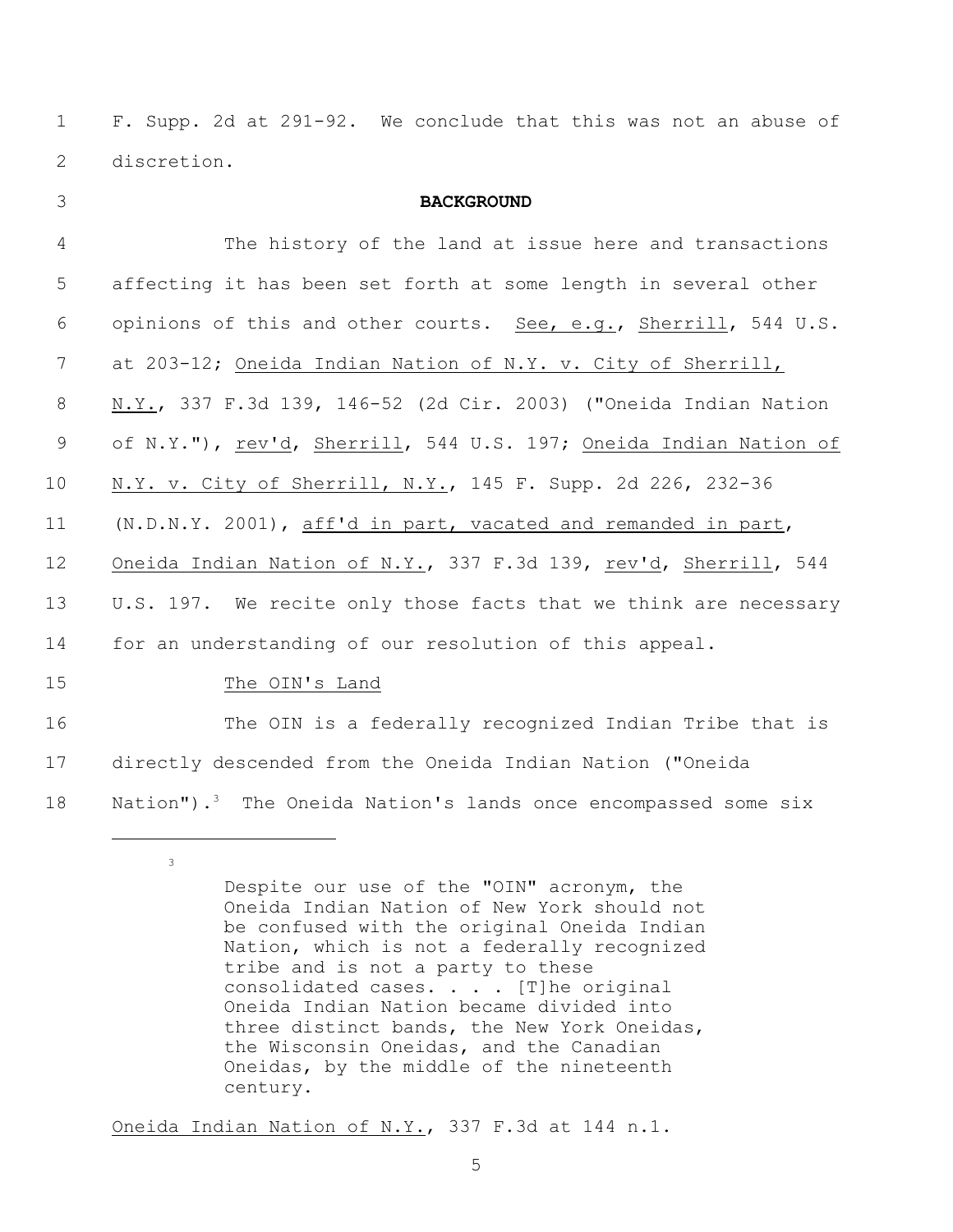1 F. Supp. 2d at 291-92. We conclude that this was not an abuse of 2 discretion.

| 3              | <b>BACKGROUND</b>                                                          |
|----------------|----------------------------------------------------------------------------|
| $\overline{4}$ | The history of the land at issue here and transactions                     |
| 5              | affecting it has been set forth at some length in several other            |
| 6              | opinions of this and other courts. See, e.g., Sherrill, 544 U.S.           |
| 7              | at 203-12; Oneida Indian Nation of N.Y. v. City of Sherrill,               |
| 8              | N.Y., 337 F.3d 139, 146-52 (2d Cir. 2003) ("Oneida Indian Nation           |
| 9              | of N.Y."), rev'd, Sherrill, 544 U.S. 197; Oneida Indian Nation of          |
| 10             | N.Y. v. City of Sherrill, N.Y., 145 F. Supp. 2d 226, 232-36                |
| 11             | (N.D.N.Y. 2001), aff'd in part, vacated and remanded in part,              |
| 12             | Oneida Indian Nation of N.Y., 337 F.3d 139, rev'd, Sherrill, 544           |
| 13             | U.S. 197. We recite only those facts that we think are necessary           |
| 14             | for an understanding of our resolution of this appeal.                     |
| 15             | The OIN's Land                                                             |
| 16             | The OIN is a federally recognized Indian Tribe that is                     |
| 17             | directly descended from the Oneida Indian Nation ("Oneida                  |
| 18             | Nation"). <sup>3</sup> The Oneida Nation's lands once encompassed some six |

Oneida Indian Nation of N.Y., 337 F.3d at 144 n.1.

3

Despite our use of the "OIN" acronym, the Oneida Indian Nation of New York should not be confused with the original Oneida Indian Nation, which is not a federally recognized tribe and is not a party to these consolidated cases. . . . [T]he original Oneida Indian Nation became divided into three distinct bands, the New York Oneidas, the Wisconsin Oneidas, and the Canadian Oneidas, by the middle of the nineteenth century.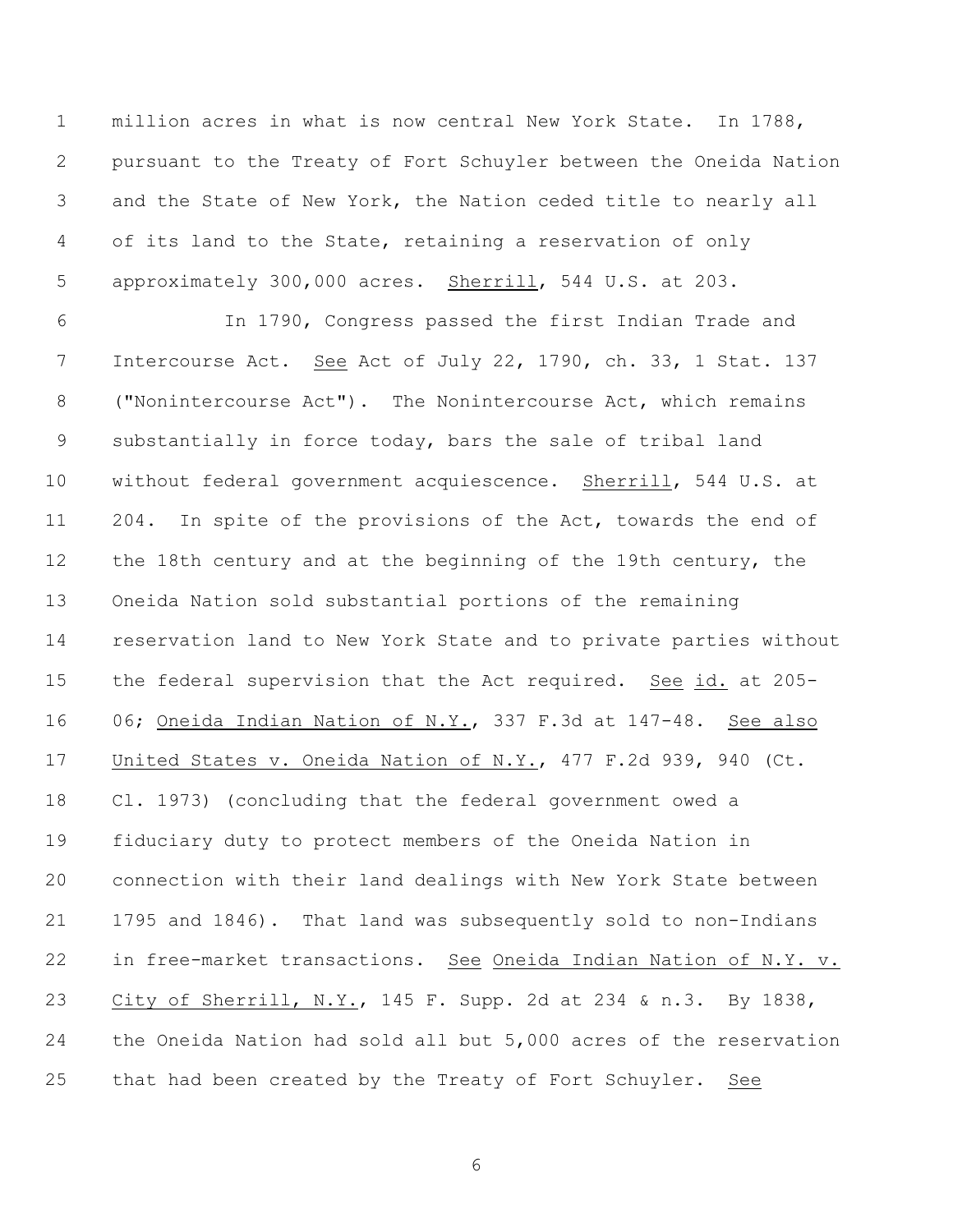million acres in what is now central New York State. In 1788, pursuant to the Treaty of Fort Schuyler between the Oneida Nation and the State of New York, the Nation ceded title to nearly all of its land to the State, retaining a reservation of only approximately 300,000 acres. Sherrill, 544 U.S. at 203.

 In 1790, Congress passed the first Indian Trade and Intercourse Act. See Act of July 22, 1790, ch. 33, 1 Stat. 137 ("Nonintercourse Act"). The Nonintercourse Act, which remains substantially in force today, bars the sale of tribal land without federal government acquiescence. Sherrill, 544 U.S. at 204. In spite of the provisions of the Act, towards the end of the 18th century and at the beginning of the 19th century, the Oneida Nation sold substantial portions of the remaining reservation land to New York State and to private parties without the federal supervision that the Act required. See id. at 205- 06; Oneida Indian Nation of N.Y., 337 F.3d at 147-48. See also United States v. Oneida Nation of N.Y., 477 F.2d 939, 940 (Ct. Cl. 1973) (concluding that the federal government owed a fiduciary duty to protect members of the Oneida Nation in connection with their land dealings with New York State between 1795 and 1846). That land was subsequently sold to non-Indians in free-market transactions. See Oneida Indian Nation of N.Y. v. City of Sherrill, N.Y., 145 F. Supp. 2d at 234 & n.3. By 1838, the Oneida Nation had sold all but 5,000 acres of the reservation that had been created by the Treaty of Fort Schuyler. See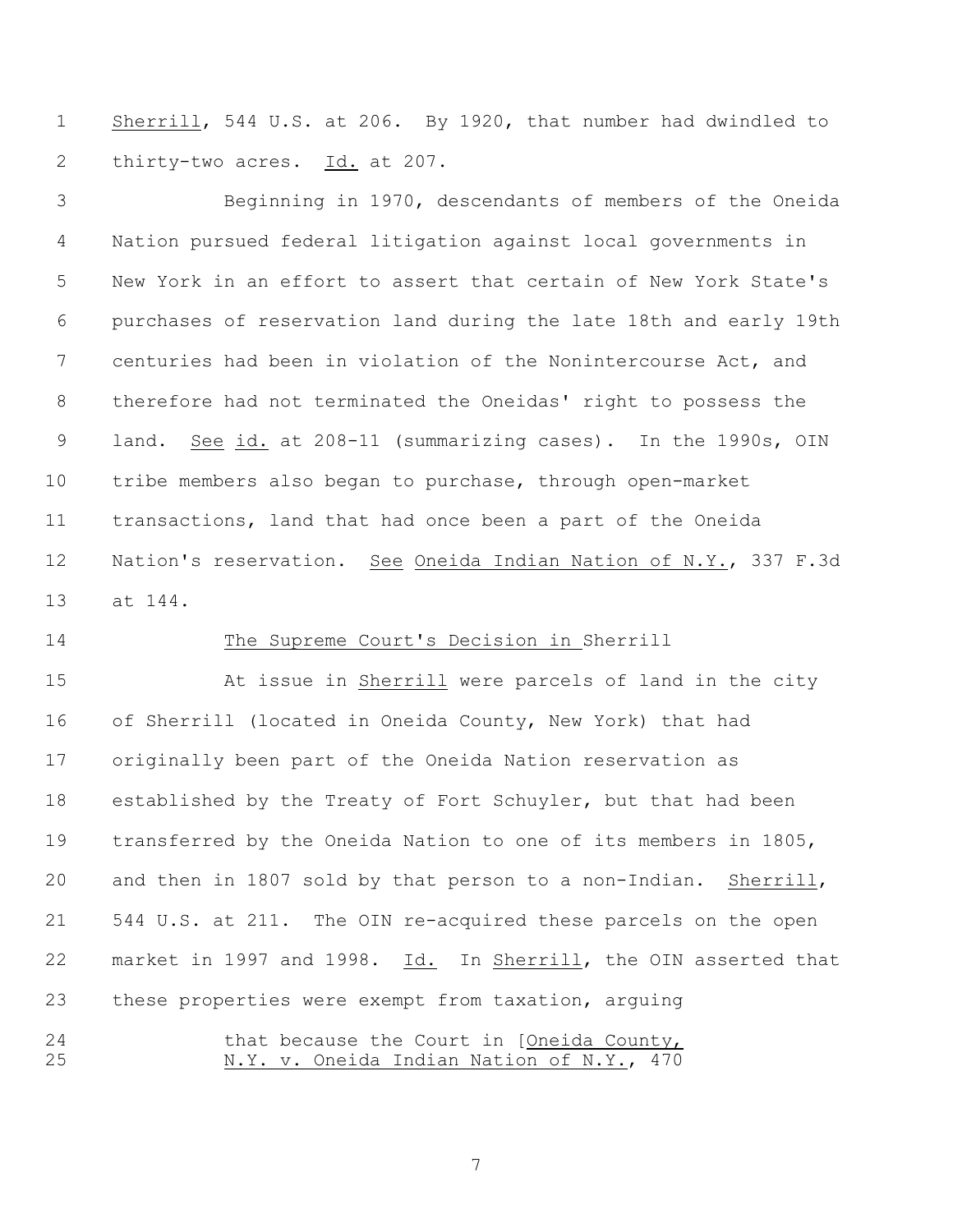Sherrill, 544 U.S. at 206. By 1920, that number had dwindled to thirty-two acres. Id. at 207.

 Beginning in 1970, descendants of members of the Oneida Nation pursued federal litigation against local governments in New York in an effort to assert that certain of New York State's purchases of reservation land during the late 18th and early 19th centuries had been in violation of the Nonintercourse Act, and therefore had not terminated the Oneidas' right to possess the land. See id. at 208-11 (summarizing cases). In the 1990s, OIN tribe members also began to purchase, through open-market transactions, land that had once been a part of the Oneida Nation's reservation. See Oneida Indian Nation of N.Y., 337 F.3d at 144.

## The Supreme Court's Decision in Sherrill

 At issue in Sherrill were parcels of land in the city of Sherrill (located in Oneida County, New York) that had originally been part of the Oneida Nation reservation as established by the Treaty of Fort Schuyler, but that had been transferred by the Oneida Nation to one of its members in 1805, and then in 1807 sold by that person to a non-Indian. Sherrill, 544 U.S. at 211. The OIN re-acquired these parcels on the open market in 1997 and 1998. Id. In Sherrill, the OIN asserted that these properties were exempt from taxation, arguing 24 that because the Court in [Oneida County,

N.Y. v. Oneida Indian Nation of N.Y., 470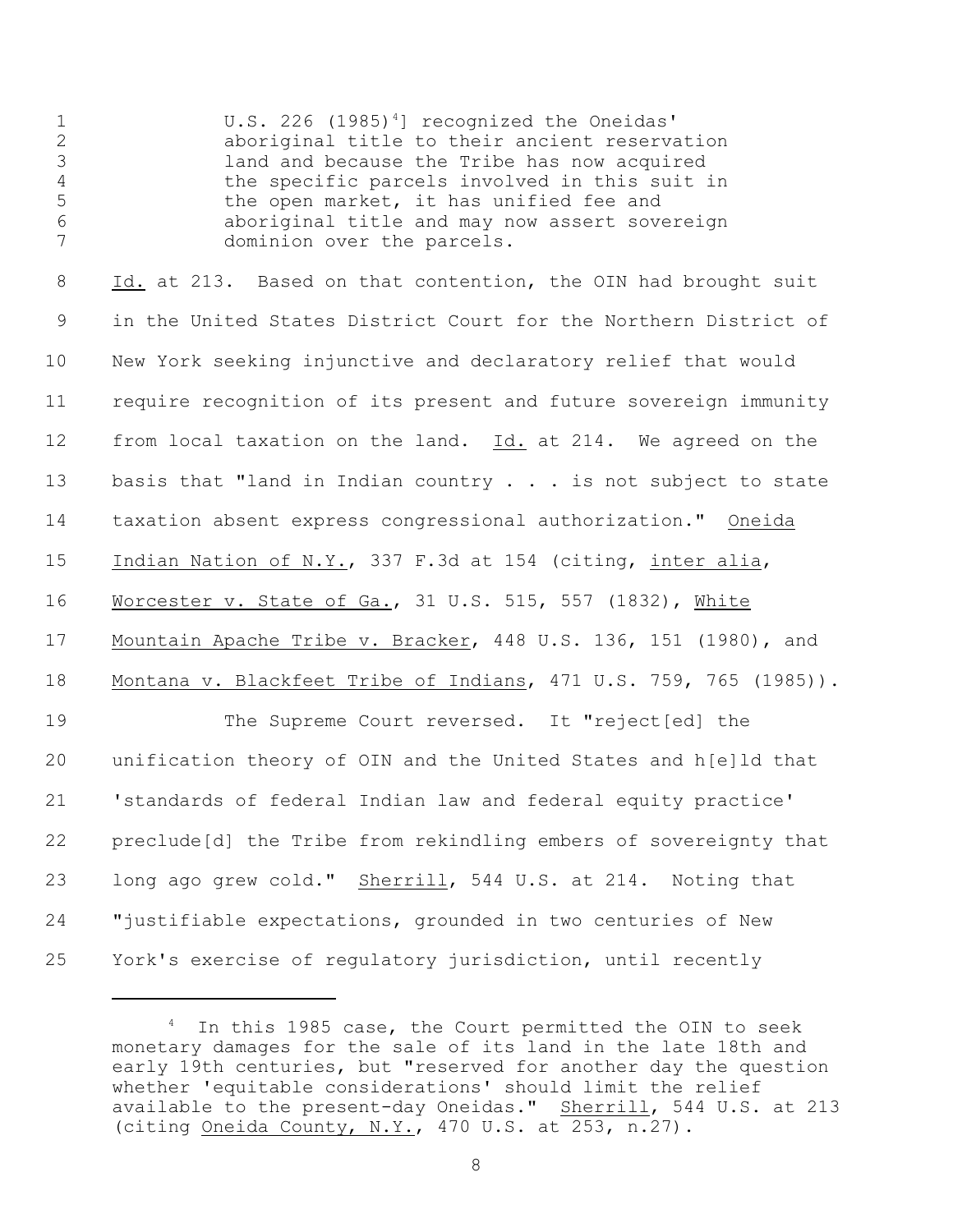1 U.S. 226 (1985)<sup>4</sup>] recognized the Oneidas' aboriginal title to their ancient reservation land and because the Tribe has now acquired the specific parcels involved in this suit in the open market, it has unified fee and aboriginal title and may now assert sovereign 7 dominion over the parcels.

 Id. at 213. Based on that contention, the OIN had brought suit in the United States District Court for the Northern District of New York seeking injunctive and declaratory relief that would require recognition of its present and future sovereign immunity from local taxation on the land. Id. at 214. We agreed on the 13 basis that "land in Indian country . . . is not subject to state taxation absent express congressional authorization." Oneida Indian Nation of N.Y., 337 F.3d at 154 (citing, inter alia, Worcester v. State of Ga., 31 U.S. 515, 557 (1832), White Mountain Apache Tribe v. Bracker, 448 U.S. 136, 151 (1980), and 18 Montana v. Blackfeet Tribe of Indians, 471 U.S. 759, 765 (1985)). The Supreme Court reversed. It "reject[ed] the unification theory of OIN and the United States and h[e]ld that 'standards of federal Indian law and federal equity practice' preclude[d] the Tribe from rekindling embers of sovereignty that long ago grew cold." Sherrill, 544 U.S. at 214. Noting that "justifiable expectations, grounded in two centuries of New York's exercise of regulatory jurisdiction, until recently

In this 1985 case, the Court permitted the OIN to seek monetary damages for the sale of its land in the late 18th and early 19th centuries, but "reserved for another day the question whether 'equitable considerations' should limit the relief available to the present-day Oneidas." Sherrill, 544 U.S. at 213 (citing Oneida County, N.Y., 470 U.S. at 253, n.27).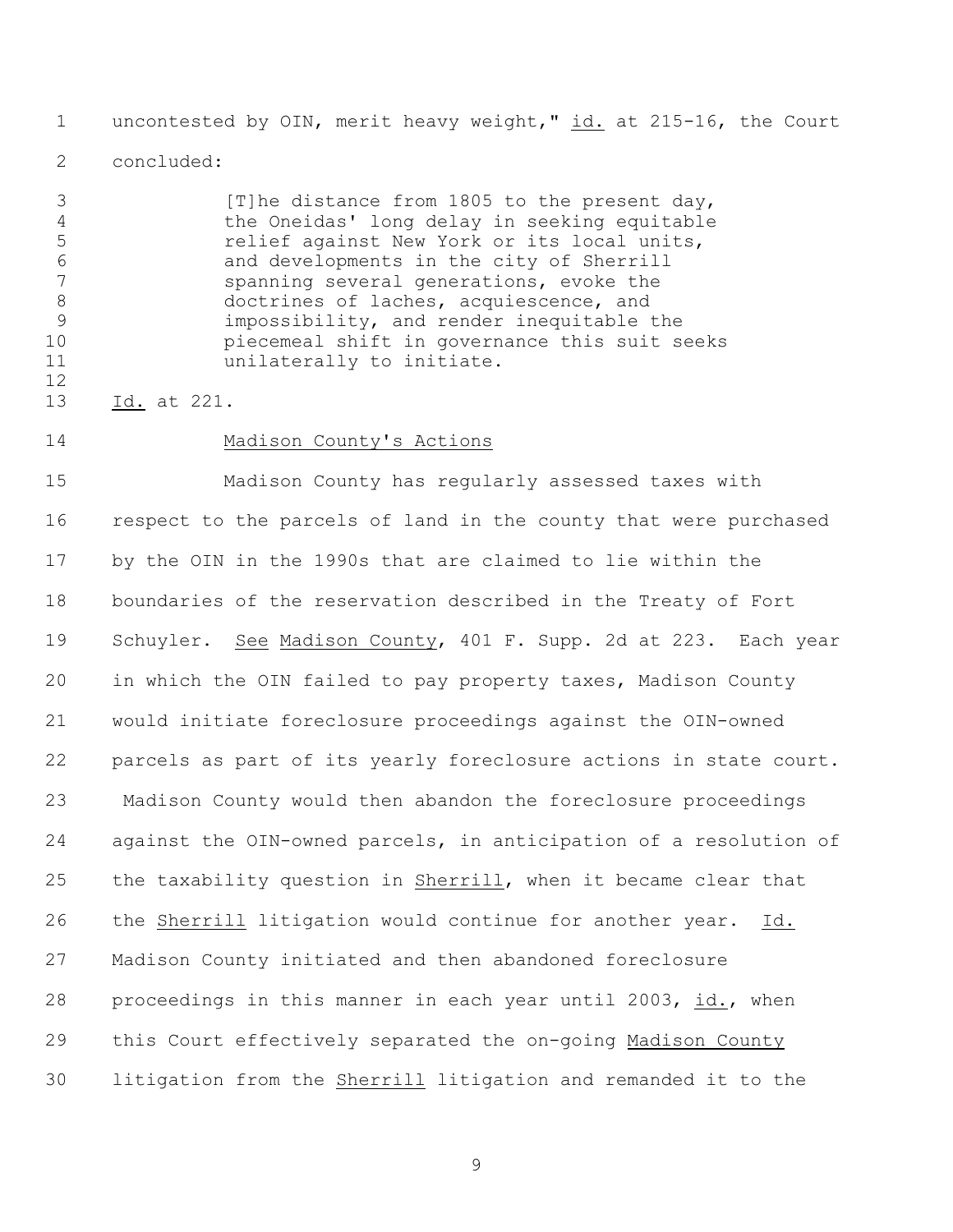uncontested by OIN, merit heavy weight," id. at 215-16, the Court

concluded:

3 [T]he distance from 1805 to the present day, the Oneidas' long delay in seeking equitable relief against New York or its local units, and developments in the city of Sherrill spanning several generations, evoke the doctrines of laches, acquiescence, and impossibility, and render inequitable the piecemeal shift in governance this suit seeks 11 unilaterally to initiate.

13 Id. at 221.

Madison County's Actions

 Madison County has regularly assessed taxes with respect to the parcels of land in the county that were purchased by the OIN in the 1990s that are claimed to lie within the boundaries of the reservation described in the Treaty of Fort Schuyler. See Madison County, 401 F. Supp. 2d at 223. Each year in which the OIN failed to pay property taxes, Madison County would initiate foreclosure proceedings against the OIN-owned parcels as part of its yearly foreclosure actions in state court. 23 Madison County would then abandon the foreclosure proceedings against the OIN-owned parcels, in anticipation of a resolution of the taxability question in Sherrill, when it became clear that the Sherrill litigation would continue for another year. Id. Madison County initiated and then abandoned foreclosure proceedings in this manner in each year until 2003, id., when this Court effectively separated the on-going Madison County litigation from the Sherrill litigation and remanded it to the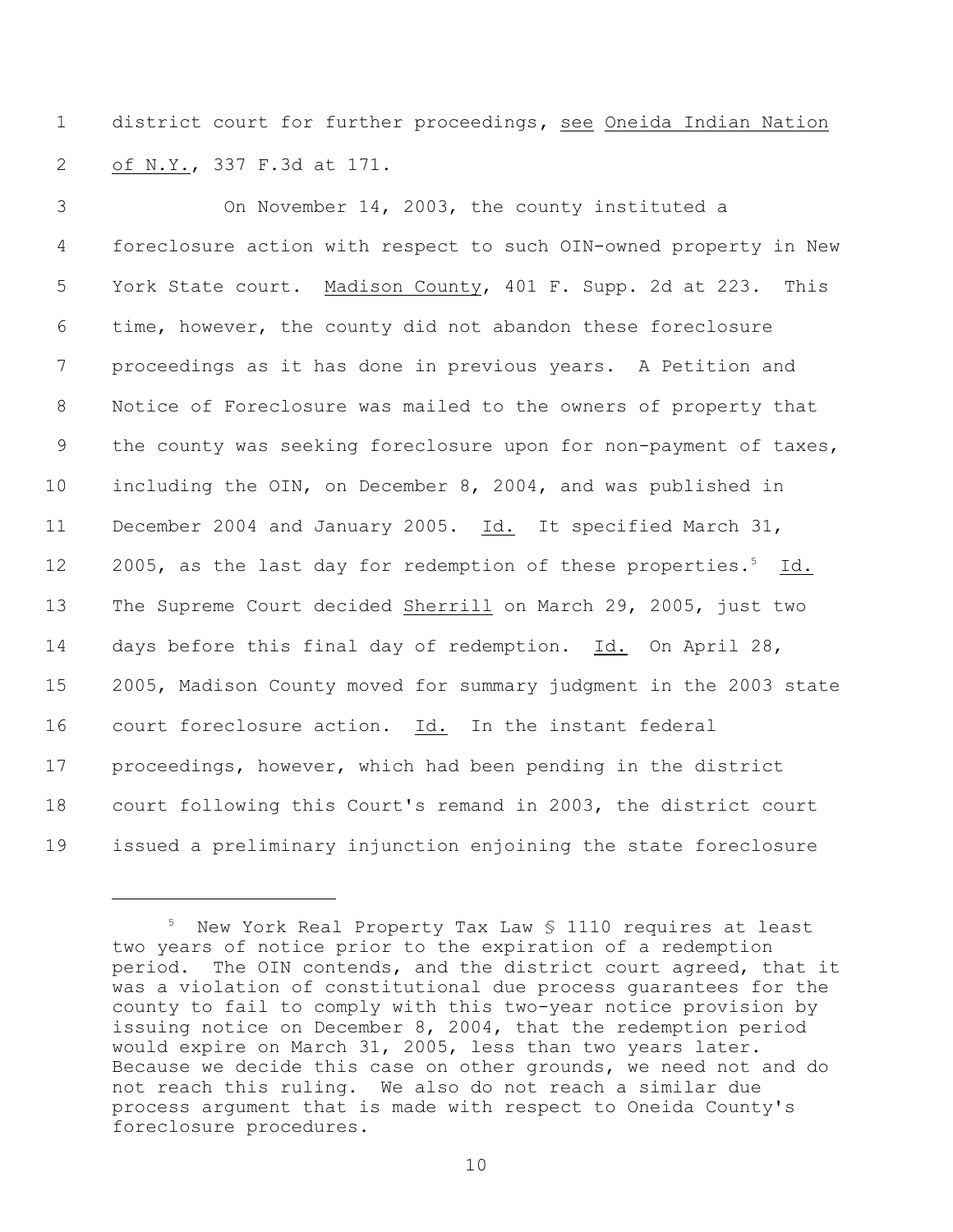district court for further proceedings**,** see Oneida Indian Nation of N.Y., 337 F.3d at 171.

 On November 14, 2003, the county instituted a foreclosure action with respect to such OIN-owned property in New York State court. Madison County, 401 F. Supp. 2d at 223. This time, however, the county did not abandon these foreclosure proceedings as it has done in previous years. A Petition and Notice of Foreclosure was mailed to the owners of property that the county was seeking foreclosure upon for non-payment of taxes, including the OIN, on December 8, 2004, and was published in December 2004 and January 2005. Id. It specified March 31, 12 2005, as the last day for redemption of these properties.<sup>5</sup> Id. The Supreme Court decided Sherrill on March 29, 2005, just two days before this final day of redemption. Id. On April 28, 2005, Madison County moved for summary judgment in the 2003 state court foreclosure action. Id. In the instant federal proceedings, however, which had been pending in the district court following this Court's remand in 2003, the district court issued a preliminary injunction enjoining the state foreclosure

 New York Real Property Tax Law  $$$  1110 requires at least two years of notice prior to the expiration of a redemption period. The OIN contends, and the district court agreed, that it was a violation of constitutional due process guarantees for the county to fail to comply with this two-year notice provision by issuing notice on December 8, 2004, that the redemption period would expire on March 31, 2005, less than two years later. Because we decide this case on other grounds, we need not and do not reach this ruling. We also do not reach a similar due process argument that is made with respect to Oneida County's foreclosure procedures.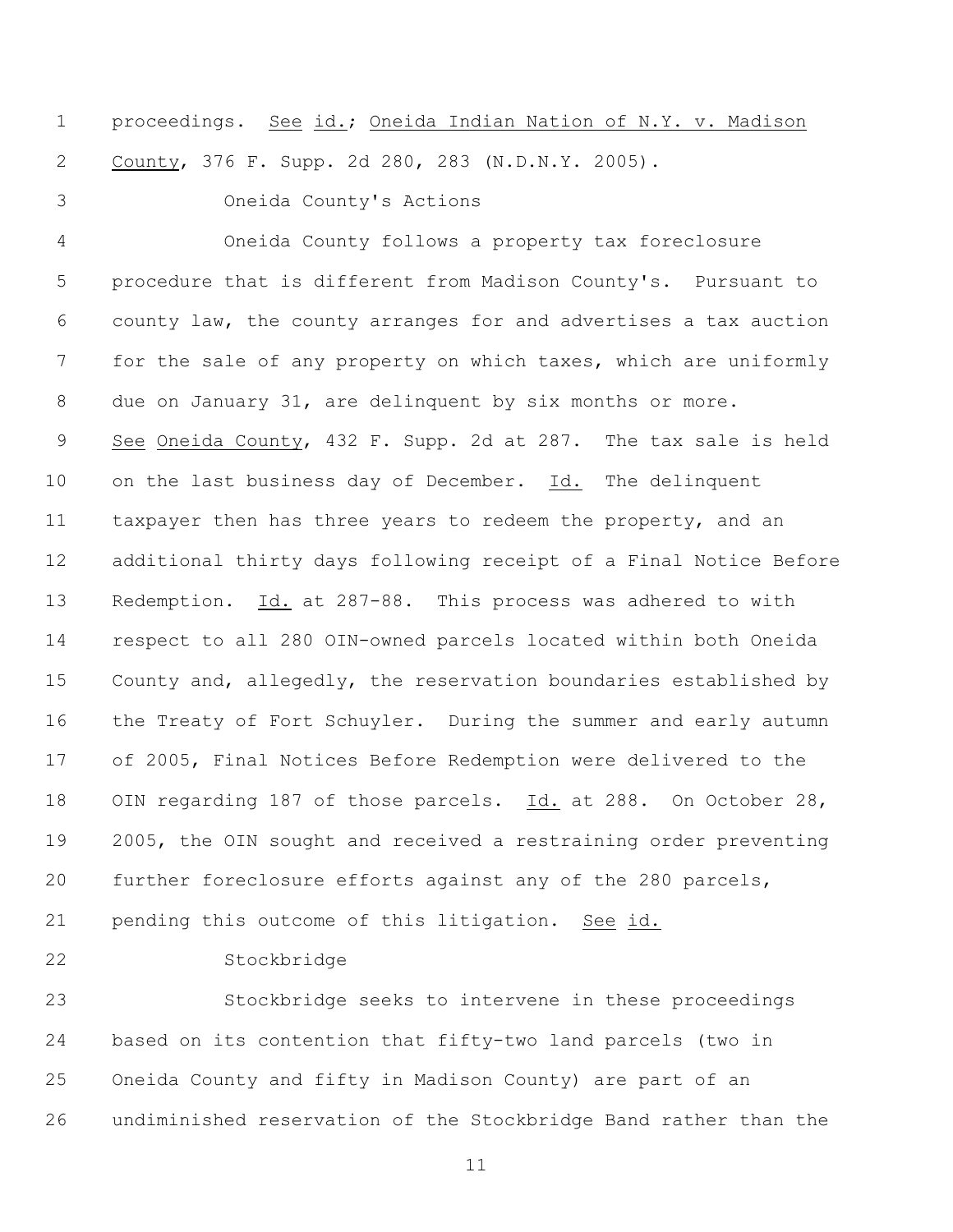proceedings. See id.; Oneida Indian Nation of N.Y. v. Madison County, 376 F. Supp. 2d 280, 283 (N.D.N.Y. 2005).

Oneida County's Actions

 Oneida County follows a property tax foreclosure procedure that is different from Madison County's. Pursuant to county law, the county arranges for and advertises a tax auction for the sale of any property on which taxes, which are uniformly due on January 31, are delinquent by six months or more. See Oneida County, 432 F. Supp. 2d at 287. The tax sale is held on the last business day of December. Id. The delinquent taxpayer then has three years to redeem the property, and an additional thirty days following receipt of a Final Notice Before Redemption. Id. at 287-88. This process was adhered to with respect to all 280 OIN-owned parcels located within both Oneida County and, allegedly, the reservation boundaries established by the Treaty of Fort Schuyler. During the summer and early autumn of 2005, Final Notices Before Redemption were delivered to the OIN regarding 187 of those parcels. Id. at 288. On October 28, 2005, the OIN sought and received a restraining order preventing further foreclosure efforts against any of the 280 parcels,

pending this outcome of this litigation. See id.

Stockbridge

 Stockbridge seeks to intervene in these proceedings based on its contention that fifty-two land parcels (two in Oneida County and fifty in Madison County) are part of an undiminished reservation of the Stockbridge Band rather than the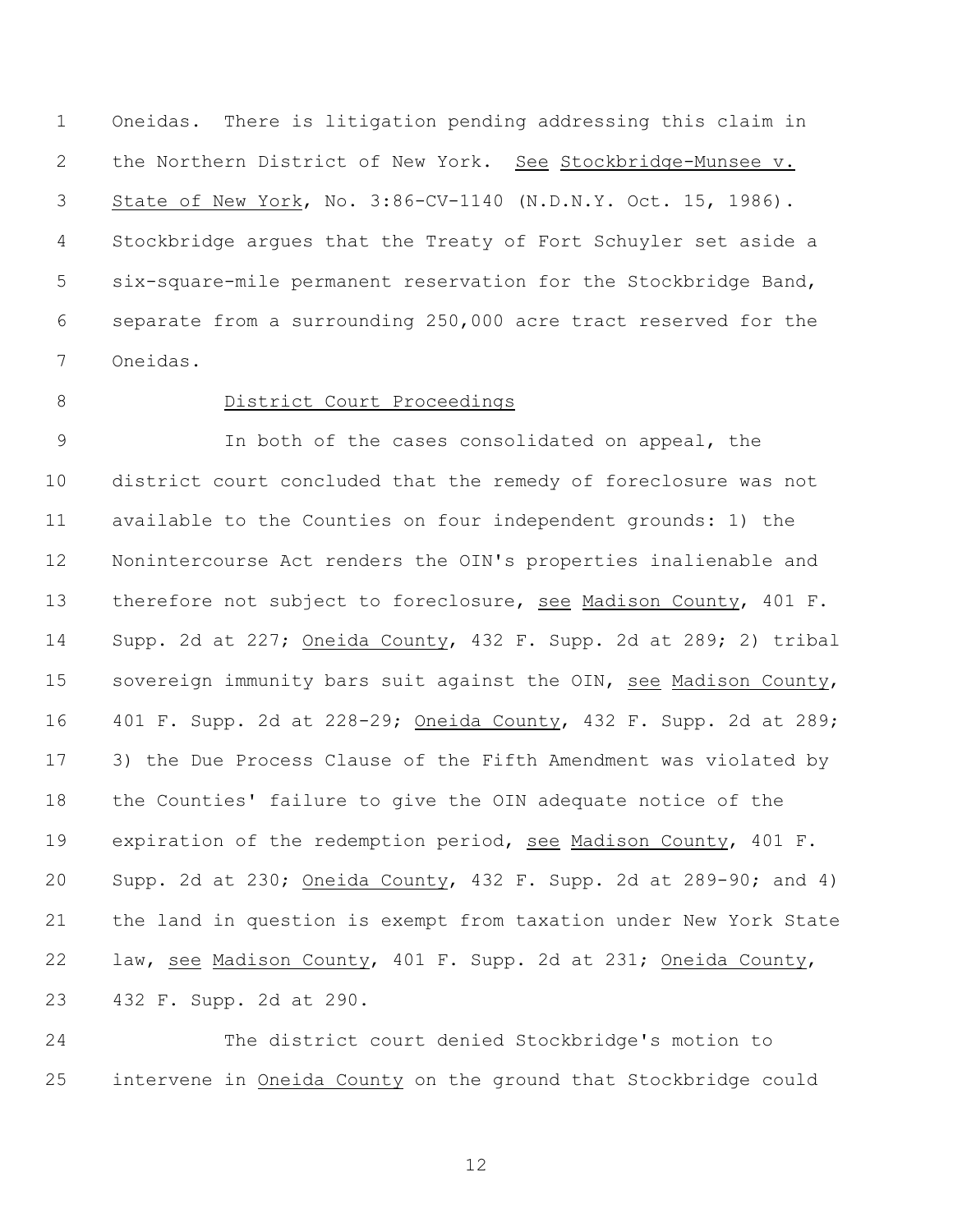Oneidas. There is litigation pending addressing this claim in the Northern District of New York. See Stockbridge-Munsee v. State of New York, No. 3:86-CV-1140 (N.D.N.Y. Oct. 15, 1986). Stockbridge argues that the Treaty of Fort Schuyler set aside a six-square-mile permanent reservation for the Stockbridge Band, separate from a surrounding 250,000 acre tract reserved for the Oneidas.

### 8 District Court Proceedings

 In both of the cases consolidated on appeal, the district court concluded that the remedy of foreclosure was not available to the Counties on four independent grounds: 1) the Nonintercourse Act renders the OIN's properties inalienable and therefore not subject to foreclosure, see Madison County, 401 F. Supp. 2d at 227; Oneida County, 432 F. Supp. 2d at 289; 2) tribal sovereign immunity bars suit against the OIN, see Madison County, 401 F. Supp. 2d at 228-29; Oneida County, 432 F. Supp. 2d at 289; 3) the Due Process Clause of the Fifth Amendment was violated by the Counties' failure to give the OIN adequate notice of the expiration of the redemption period, see Madison County, 401 F. Supp. 2d at 230; Oneida County, 432 F. Supp. 2d at 289-90; and 4) the land in question is exempt from taxation under New York State law, see Madison County, 401 F. Supp. 2d at 231; Oneida County, 432 F. Supp. 2d at 290.

 The district court denied Stockbridge's motion to intervene in Oneida County on the ground that Stockbridge could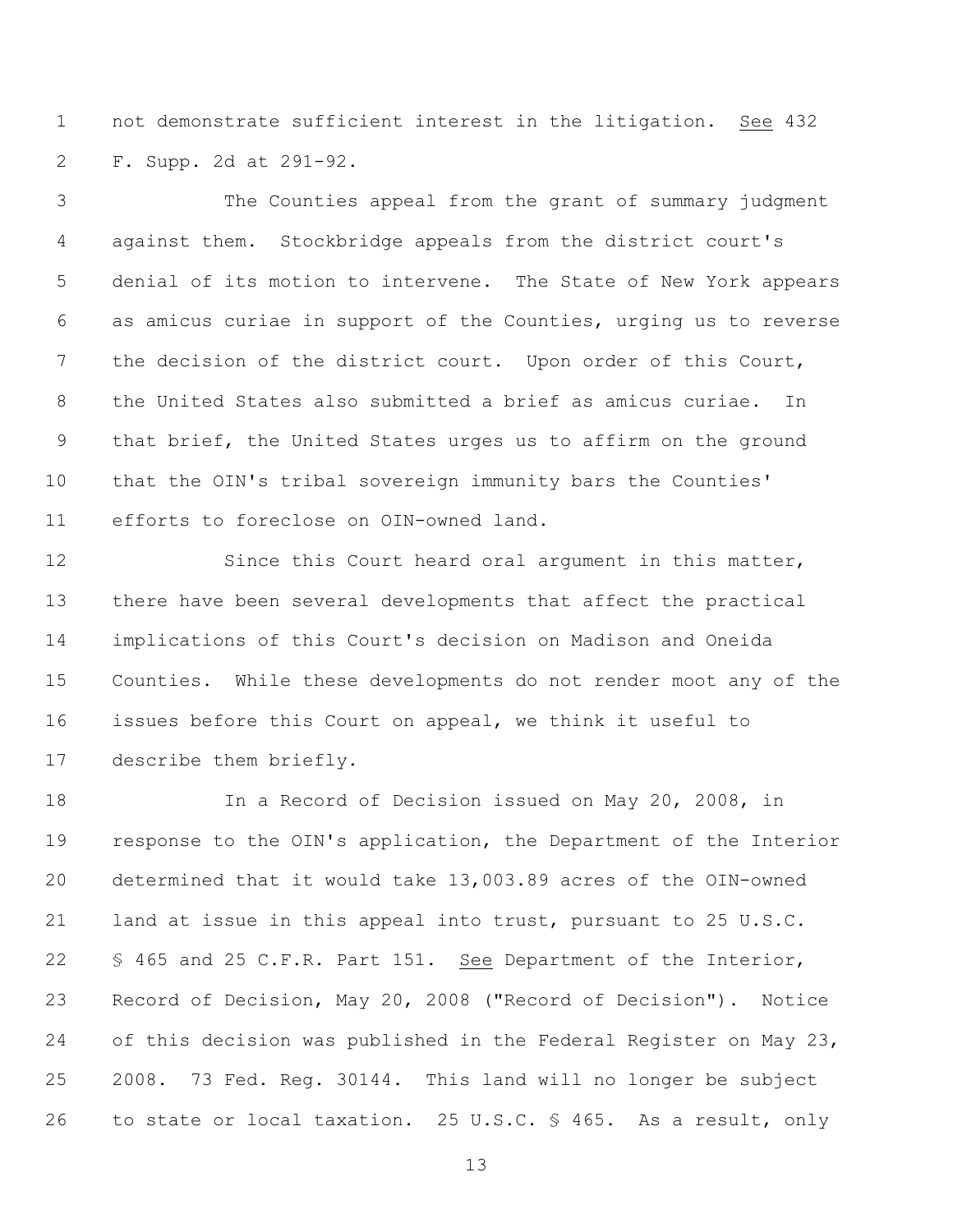not demonstrate sufficient interest in the litigation. See 432 F. Supp. 2d at 291-92.

 The Counties appeal from the grant of summary judgment against them. Stockbridge appeals from the district court's denial of its motion to intervene. The State of New York appears as amicus curiae in support of the Counties, urging us to reverse the decision of the district court. Upon order of this Court, the United States also submitted a brief as amicus curiae. In that brief, the United States urges us to affirm on the ground that the OIN's tribal sovereign immunity bars the Counties' efforts to foreclose on OIN-owned land.

12 Since this Court heard oral argument in this matter, there have been several developments that affect the practical implications of this Court's decision on Madison and Oneida Counties. While these developments do not render moot any of the issues before this Court on appeal, we think it useful to describe them briefly.

 In a Record of Decision issued on May 20, 2008, in response to the OIN's application, the Department of the Interior determined that it would take 13,003.89 acres of the OIN-owned land at issue in this appeal into trust, pursuant to 25 U.S.C. § 465 and 25 C.F.R. Part 151. See Department of the Interior, Record of Decision, May 20, 2008 ("Record of Decision"). Notice of this decision was published in the Federal Register on May 23, 2008. 73 Fed. Reg. 30144. This land will no longer be subject to state or local taxation. 25 U.S.C. § 465. As a result, only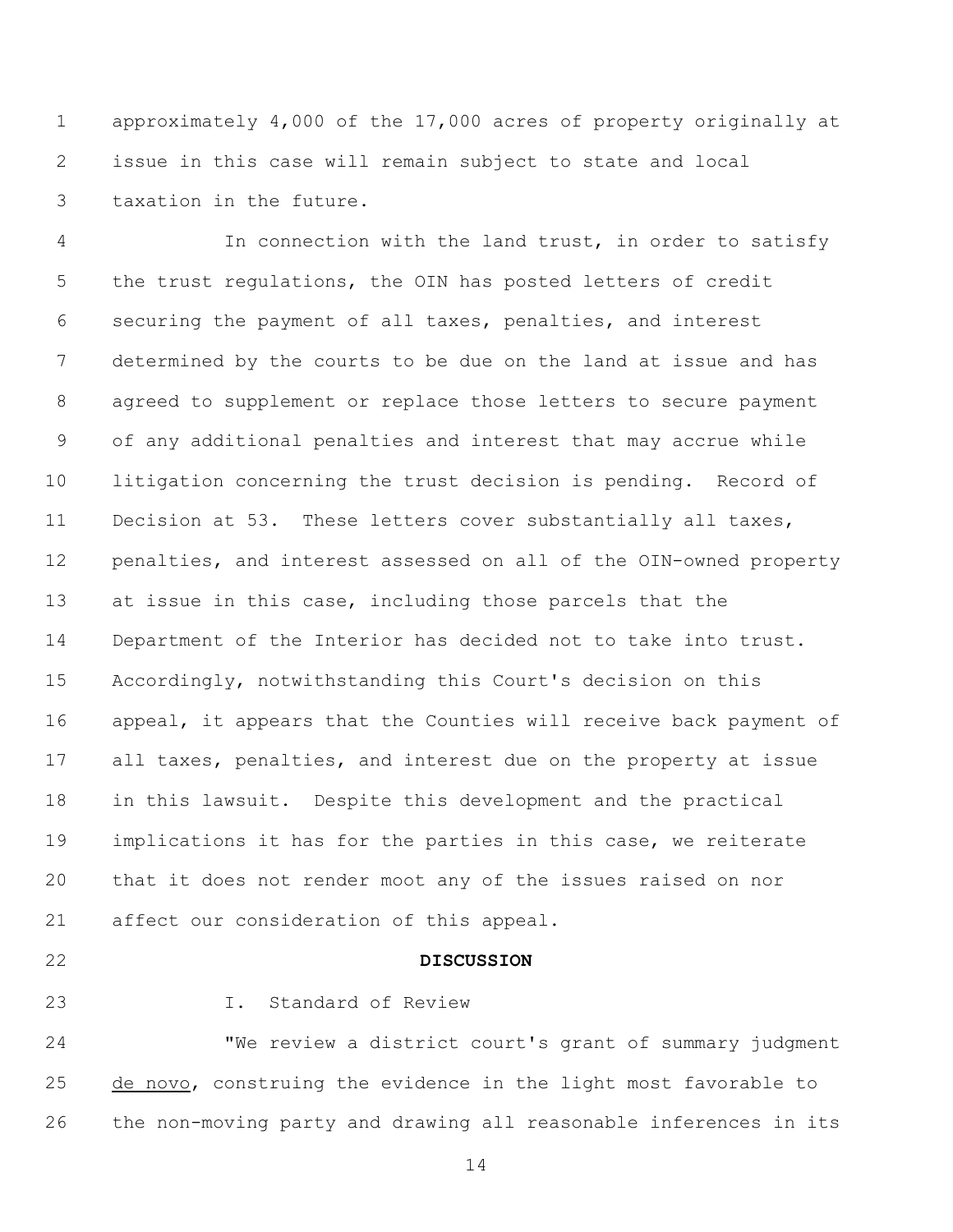approximately 4,000 of the 17,000 acres of property originally at issue in this case will remain subject to state and local taxation in the future.

 In connection with the land trust, in order to satisfy the trust regulations, the OIN has posted letters of credit securing the payment of all taxes, penalties, and interest determined by the courts to be due on the land at issue and has agreed to supplement or replace those letters to secure payment of any additional penalties and interest that may accrue while litigation concerning the trust decision is pending. Record of Decision at 53. These letters cover substantially all taxes, penalties, and interest assessed on all of the OIN-owned property at issue in this case, including those parcels that the Department of the Interior has decided not to take into trust. Accordingly, notwithstanding this Court's decision on this appeal, it appears that the Counties will receive back payment of all taxes, penalties, and interest due on the property at issue in this lawsuit. Despite this development and the practical implications it has for the parties in this case, we reiterate that it does not render moot any of the issues raised on nor affect our consideration of this appeal.

### **DISCUSSION**

# I. Standard of Review

 "We review a district court's grant of summary judgment 25 de novo, construing the evidence in the light most favorable to the non-moving party and drawing all reasonable inferences in its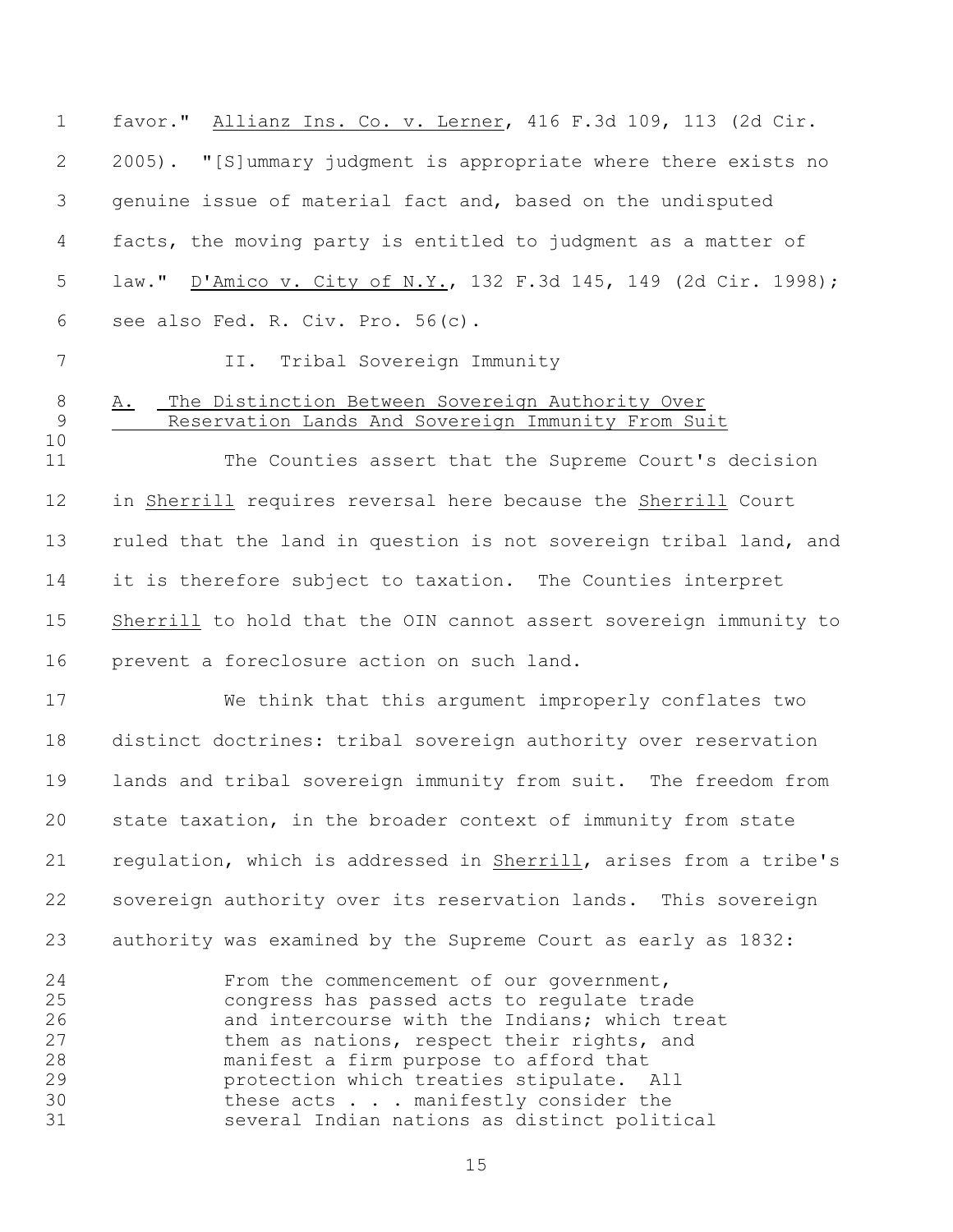favor." Allianz Ins. Co. v. Lerner, 416 F.3d 109, 113 (2d Cir. 2005). "[S]ummary judgment is appropriate where there exists no genuine issue of material fact and, based on the undisputed facts, the moving party is entitled to judgment as a matter of law." D'Amico v. City of N.Y., 132 F.3d 145, 149 (2d Cir. 1998); see also Fed. R. Civ. Pro. 56(c).

7 II. Tribal Sovereign Immunity

## A. The Distinction Between Sovereign Authority Over Reservation Lands And Sovereign Immunity From Suit

11 The Counties assert that the Supreme Court's decision in Sherrill requires reversal here because the Sherrill Court ruled that the land in question is not sovereign tribal land, and it is therefore subject to taxation. The Counties interpret Sherrill to hold that the OIN cannot assert sovereign immunity to prevent a foreclosure action on such land.

 We think that this argument improperly conflates two distinct doctrines: tribal sovereign authority over reservation lands and tribal sovereign immunity from suit. The freedom from state taxation, in the broader context of immunity from state regulation, which is addressed in Sherrill, arises from a tribe's sovereign authority over its reservation lands. This sovereign authority was examined by the Supreme Court as early as 1832:

 From the commencement of our government, congress has passed acts to regulate trade and intercourse with the Indians; which treat them as nations, respect their rights, and manifest a firm purpose to afford that protection which treaties stipulate. All 30 these acts . . . manifestly consider the several Indian nations as distinct political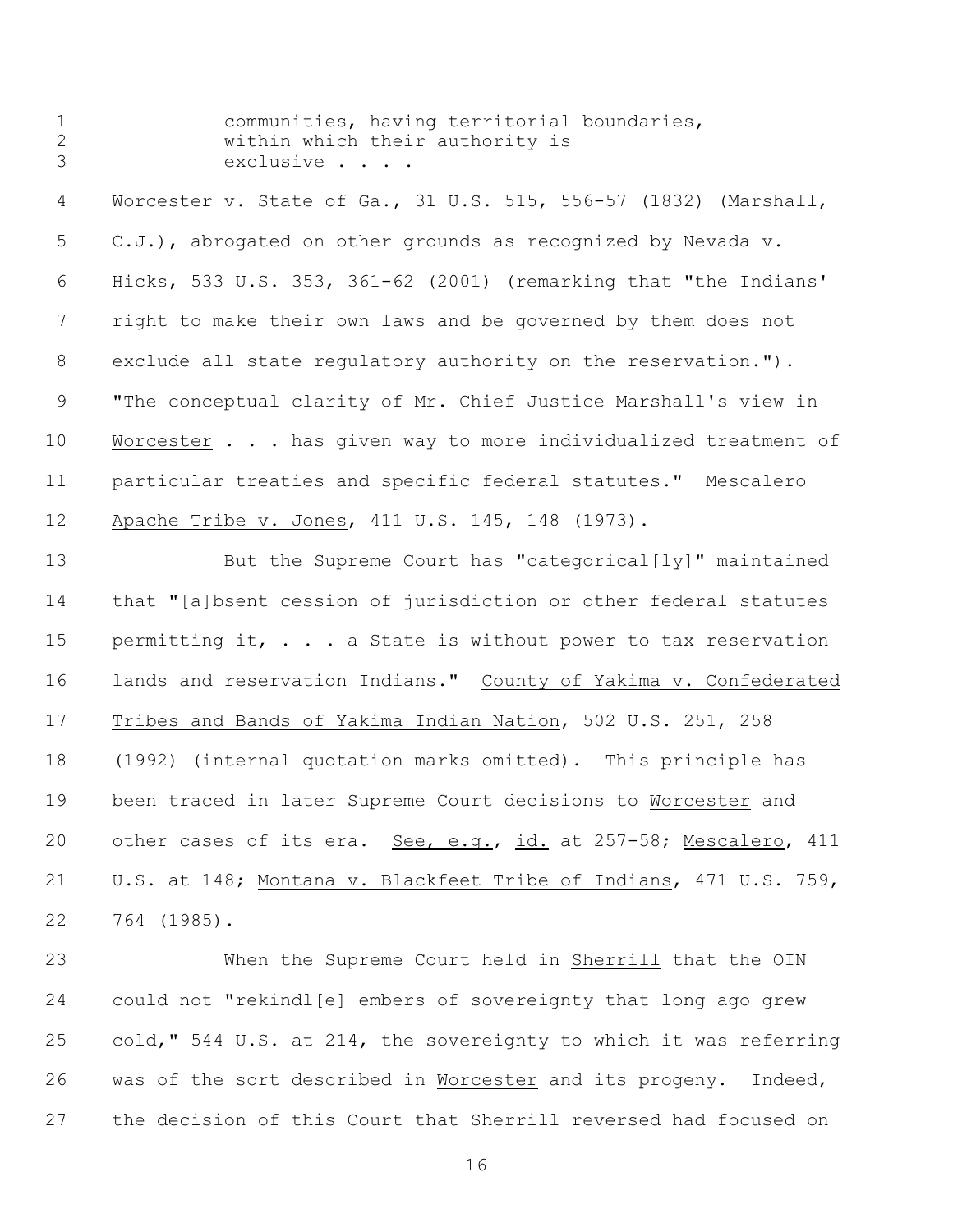| 1       |           | communities, having territorial boundaries, |  |
|---------|-----------|---------------------------------------------|--|
|         |           | within which their authority is             |  |
| $\beta$ | exclusive |                                             |  |

 Worcester v. State of Ga., 31 U.S. 515, 556-57 (1832) (Marshall, C.J.), abrogated on other grounds as recognized by Nevada v. Hicks, 533 U.S. 353, 361-62 (2001) (remarking that "the Indians' right to make their own laws and be governed by them does not exclude all state regulatory authority on the reservation."). "The conceptual clarity of Mr. Chief Justice Marshall's view in 10 Worcester . . . has given way to more individualized treatment of particular treaties and specific federal statutes." Mescalero 12 Apache Tribe v. Jones, 411 U.S. 145, 148 (1973).

 But the Supreme Court has "categorical[ly]" maintained that "[a]bsent cession of jurisdiction or other federal statutes 15 permitting it, . . . a State is without power to tax reservation lands and reservation Indians." County of Yakima v. Confederated Tribes and Bands of Yakima Indian Nation, 502 U.S. 251, 258 (1992) (internal quotation marks omitted). This principle has been traced in later Supreme Court decisions to Worcester and other cases of its era. See, e.g., id. at 257-58; Mescalero, 411 U.S. at 148; Montana v. Blackfeet Tribe of Indians, 471 U.S. 759, 764 (1985).

 When the Supreme Court held in Sherrill that the OIN could not "rekindl[e] embers of sovereignty that long ago grew cold," 544 U.S. at 214, the sovereignty to which it was referring was of the sort described in Worcester and its progeny. Indeed, the decision of this Court that Sherrill reversed had focused on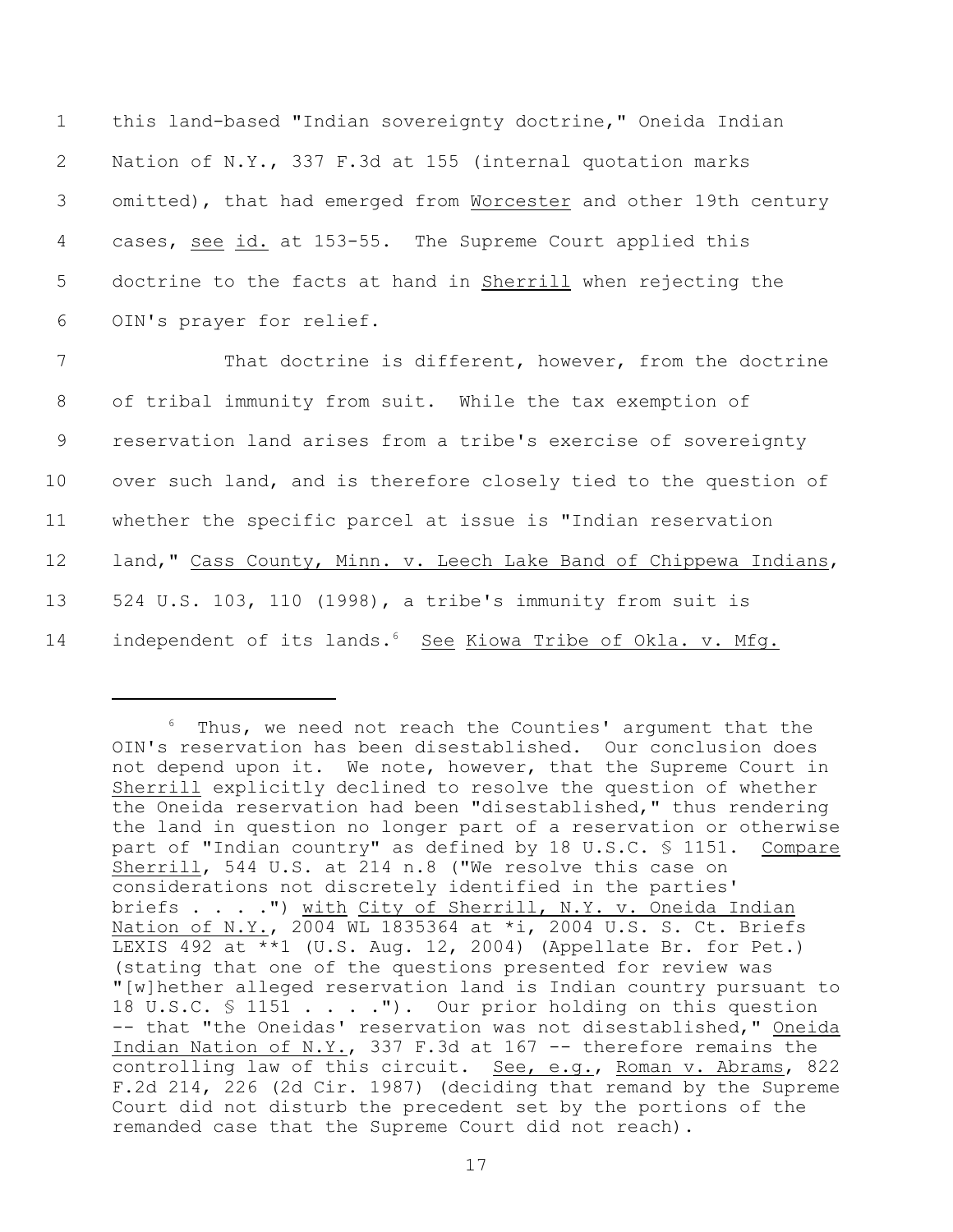this land-based "Indian sovereignty doctrine," Oneida Indian Nation of N.Y., 337 F.3d at 155 (internal quotation marks omitted), that had emerged from Worcester and other 19th century cases, see id. at 153-55. The Supreme Court applied this doctrine to the facts at hand in Sherrill when rejecting the OIN's prayer for relief.

 That doctrine is different, however, from the doctrine of tribal immunity from suit. While the tax exemption of reservation land arises from a tribe's exercise of sovereignty 10 over such land, and is therefore closely tied to the question of whether the specific parcel at issue is "Indian reservation 12 land," Cass County, Minn. v. Leech Lake Band of Chippewa Indians, 524 U.S. 103, 110 (1998), a tribe's immunity from suit is 14 independent of its lands.<sup>6</sup> See Kiowa Tribe of Okla. v. Mfg.

 $6$  Thus, we need not reach the Counties' argument that the OIN's reservation has been disestablished. Our conclusion does not depend upon it. We note, however, that the Supreme Court in Sherrill explicitly declined to resolve the question of whether the Oneida reservation had been "disestablished," thus rendering the land in question no longer part of a reservation or otherwise part of "Indian country" as defined by 18 U.S.C. § 1151. Compare Sherrill, 544 U.S. at 214 n.8 ("We resolve this case on considerations not discretely identified in the parties' briefs . . . .") with City of Sherrill, N.Y. v. Oneida Indian Nation of N.Y., 2004 WL 1835364 at \*i, 2004 U.S. S. Ct. Briefs LEXIS 492 at \*\*1 (U.S. Aug. 12, 2004) (Appellate Br. for Pet.) (stating that one of the questions presented for review was "[w]hether alleged reservation land is Indian country pursuant to 18 U.S.C. § 1151 . . . . "). Our prior holding on this question -- that "the Oneidas' reservation was not disestablished," Oneida Indian Nation of N.Y., 337 F.3d at 167 -- therefore remains the controlling law of this circuit. See, e.g., Roman v. Abrams, 822 F.2d 214, 226 (2d Cir. 1987) (deciding that remand by the Supreme Court did not disturb the precedent set by the portions of the remanded case that the Supreme Court did not reach).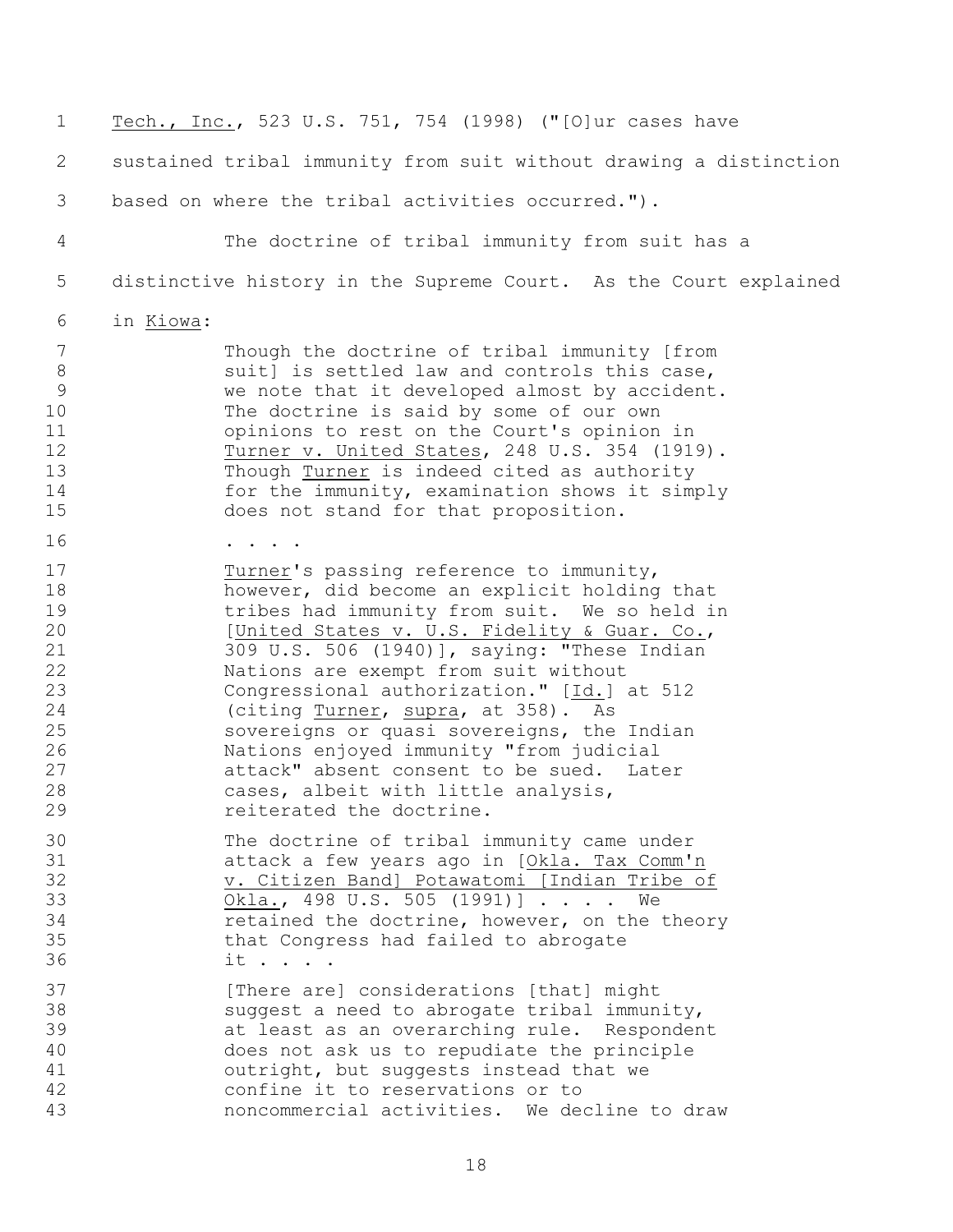Tech., Inc., 523 U.S. 751, 754 (1998) ("[O]ur cases have sustained tribal immunity from suit without drawing a distinction based on where the tribal activities occurred."). The doctrine of tribal immunity from suit has a distinctive history in the Supreme Court. As the Court explained in Kiowa: Though the doctrine of tribal immunity [from 8 suit] is settled law and controls this case, we note that it developed almost by accident. The doctrine is said by some of our own opinions to rest on the Court's opinion in 12 Turner v. United States, 248 U.S. 354 (1919). Though Turner is indeed cited as authority for the immunity, examination shows it simply does not stand for that proposition. 16 . . . . . 17 Turner's passing reference to immunity, however, did become an explicit holding that tribes had immunity from suit. We so held in 20 [United States v. U.S. Fidelity & Guar. Co.,<br>21 309 U.S. 506 (1940)], saving: "These Indian 309 U.S. 506 (1940)], saying: "These Indian Nations are exempt from suit without Congressional authorization." [Id.] at 512 (citing Turner, supra, at 358). As sovereigns or quasi sovereigns, the Indian Nations enjoyed immunity "from judicial attack" absent consent to be sued. Later cases, albeit with little analysis, 29 reiterated the doctrine. The doctrine of tribal immunity came under attack a few years ago in [Okla. Tax Comm'n 32 v. Citizen Band] Potawatomi [Indian Tribe of 33 Okla., 498 U.S. 505 (1991)] . . . . We retained the doctrine, however, on the theory that Congress had failed to abrogate it . . . . 37 [There are] considerations [that] might suggest a need to abrogate tribal immunity, at least as an overarching rule. Respondent does not ask us to repudiate the principle outright, but suggests instead that we confine it to reservations or to noncommercial activities. We decline to draw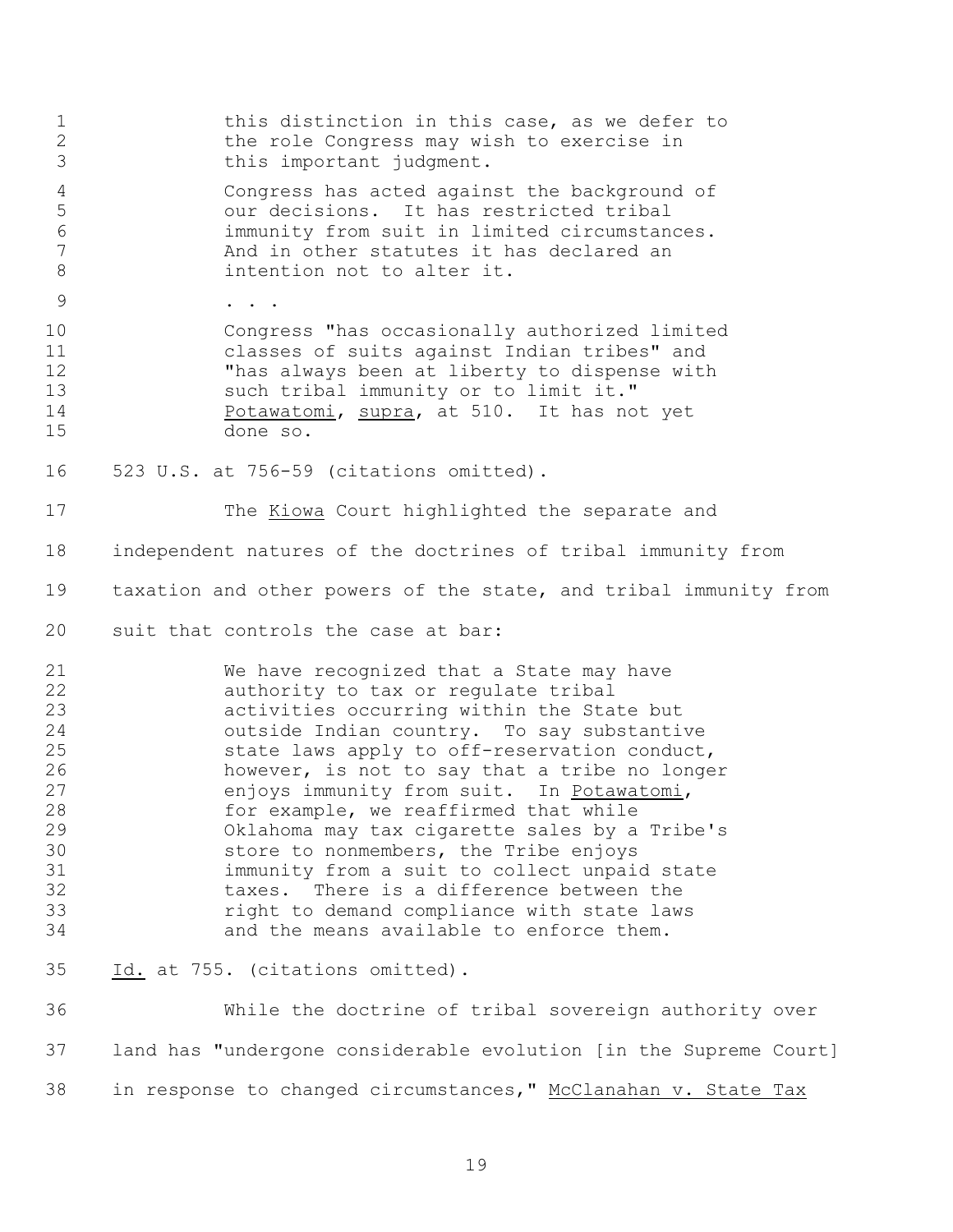| $\mathbf 1$<br>$\mathbf{2}$<br>3                                                 | this distinction in this case, as we defer to<br>the role Congress may wish to exercise in<br>this important judgment.                                                                                                                                                                                                                                                                                                                                                                                                                                                                                                                            |
|----------------------------------------------------------------------------------|---------------------------------------------------------------------------------------------------------------------------------------------------------------------------------------------------------------------------------------------------------------------------------------------------------------------------------------------------------------------------------------------------------------------------------------------------------------------------------------------------------------------------------------------------------------------------------------------------------------------------------------------------|
| $\overline{4}$<br>5<br>$\epsilon$<br>$\overline{7}$<br>8                         | Congress has acted against the background of<br>our decisions. It has restricted tribal<br>immunity from suit in limited circumstances.<br>And in other statutes it has declared an<br>intention not to alter it.                                                                                                                                                                                                                                                                                                                                                                                                                                 |
| $\mathcal{G}$                                                                    |                                                                                                                                                                                                                                                                                                                                                                                                                                                                                                                                                                                                                                                   |
| 10<br>11<br>12<br>13<br>14<br>15                                                 | Congress "has occasionally authorized limited<br>classes of suits against Indian tribes" and<br>"has always been at liberty to dispense with<br>such tribal immunity or to limit it."<br>Potawatomi, supra, at 510. It has not yet<br>done so.                                                                                                                                                                                                                                                                                                                                                                                                    |
| 16                                                                               | 523 U.S. at 756-59 (citations omitted).                                                                                                                                                                                                                                                                                                                                                                                                                                                                                                                                                                                                           |
| 17                                                                               | The Kiowa Court highlighted the separate and                                                                                                                                                                                                                                                                                                                                                                                                                                                                                                                                                                                                      |
| 18                                                                               | independent natures of the doctrines of tribal immunity from                                                                                                                                                                                                                                                                                                                                                                                                                                                                                                                                                                                      |
| 19                                                                               | taxation and other powers of the state, and tribal immunity from                                                                                                                                                                                                                                                                                                                                                                                                                                                                                                                                                                                  |
| 20                                                                               | suit that controls the case at bar:                                                                                                                                                                                                                                                                                                                                                                                                                                                                                                                                                                                                               |
| 21<br>22<br>23<br>24<br>25<br>26<br>27<br>28<br>29<br>30<br>31<br>32<br>33<br>34 | We have recognized that a State may have<br>authority to tax or regulate tribal<br>activities occurring within the State but<br>outside Indian country. To say substantive<br>state laws apply to off-reservation conduct,<br>however, is not to say that a tribe no longer<br>enjoys immunity from suit. In Potawatomi,<br>for example, we reaffirmed that while<br>Oklahoma may tax cigarette sales by a Tribe's<br>store to nonmembers, the Tribe enjoys<br>immunity from a suit to collect unpaid state<br>taxes. There is a difference between the<br>right to demand compliance with state laws<br>and the means available to enforce them. |
| 35                                                                               | Id. at 755. (citations omitted).                                                                                                                                                                                                                                                                                                                                                                                                                                                                                                                                                                                                                  |
| 36                                                                               | While the doctrine of tribal sovereign authority over                                                                                                                                                                                                                                                                                                                                                                                                                                                                                                                                                                                             |
| 37                                                                               | land has "undergone considerable evolution [in the Supreme Court]                                                                                                                                                                                                                                                                                                                                                                                                                                                                                                                                                                                 |
| 38                                                                               | in response to changed circumstances," McClanahan v. State Tax                                                                                                                                                                                                                                                                                                                                                                                                                                                                                                                                                                                    |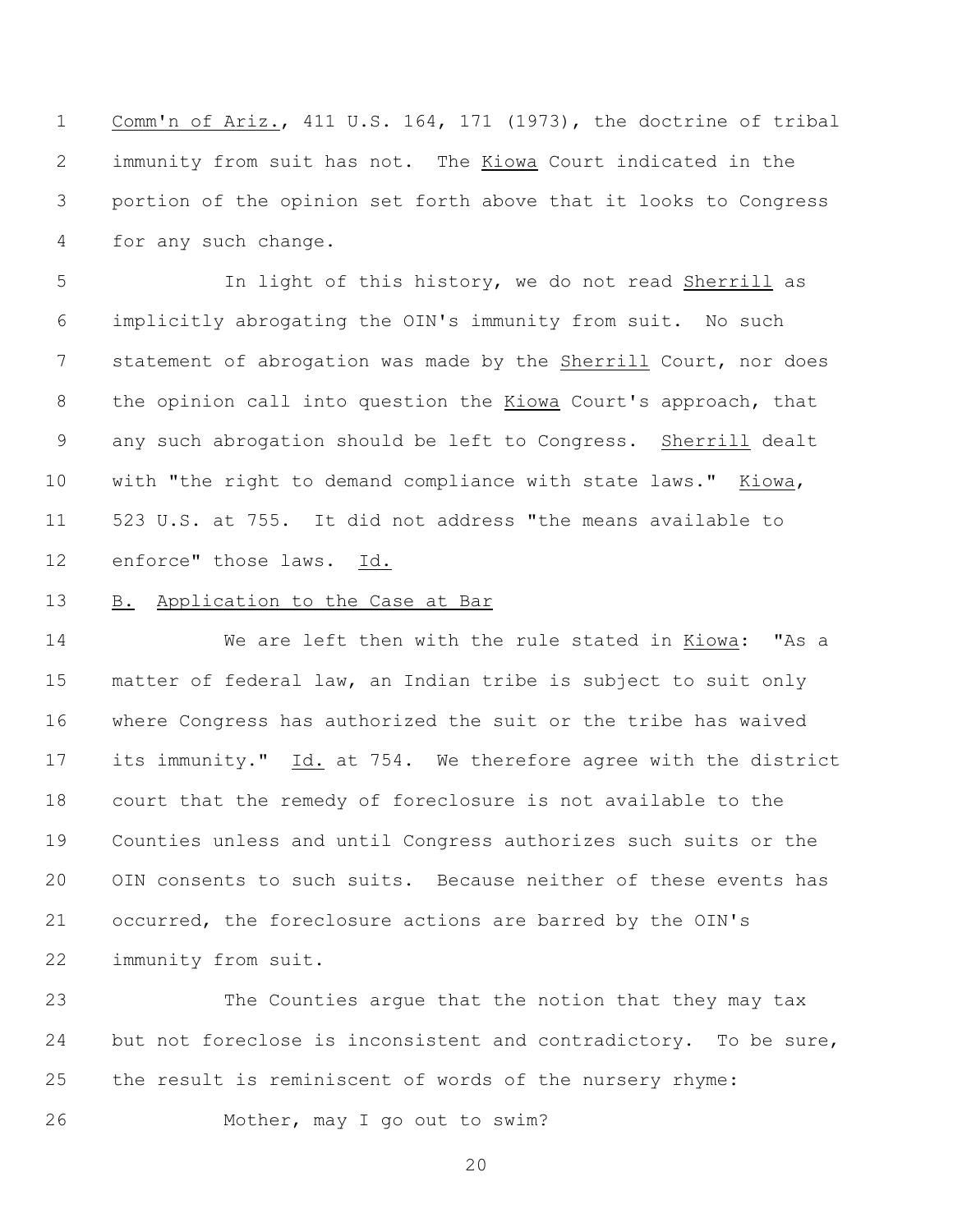Comm'n of Ariz., 411 U.S. 164, 171 (1973), the doctrine of tribal immunity from suit has not. The Kiowa Court indicated in the portion of the opinion set forth above that it looks to Congress for any such change.

 In light of this history, we do not read Sherrill as implicitly abrogating the OIN's immunity from suit. No such 7 statement of abrogation was made by the Sherrill Court, nor does the opinion call into question the Kiowa Court's approach, that any such abrogation should be left to Congress. Sherrill dealt with "the right to demand compliance with state laws." Kiowa, 523 U.S. at 755. It did not address "the means available to enforce" those laws. Id.

## B. Application to the Case at Bar

 We are left then with the rule stated in Kiowa: "As a matter of federal law, an Indian tribe is subject to suit only where Congress has authorized the suit or the tribe has waived its immunity." Id. at 754. We therefore agree with the district court that the remedy of foreclosure is not available to the Counties unless and until Congress authorizes such suits or the OIN consents to such suits. Because neither of these events has occurred, the foreclosure actions are barred by the OIN's immunity from suit.

 The Counties argue that the notion that they may tax but not foreclose is inconsistent and contradictory. To be sure, the result is reminiscent of words of the nursery rhyme:

Mother, may I go out to swim?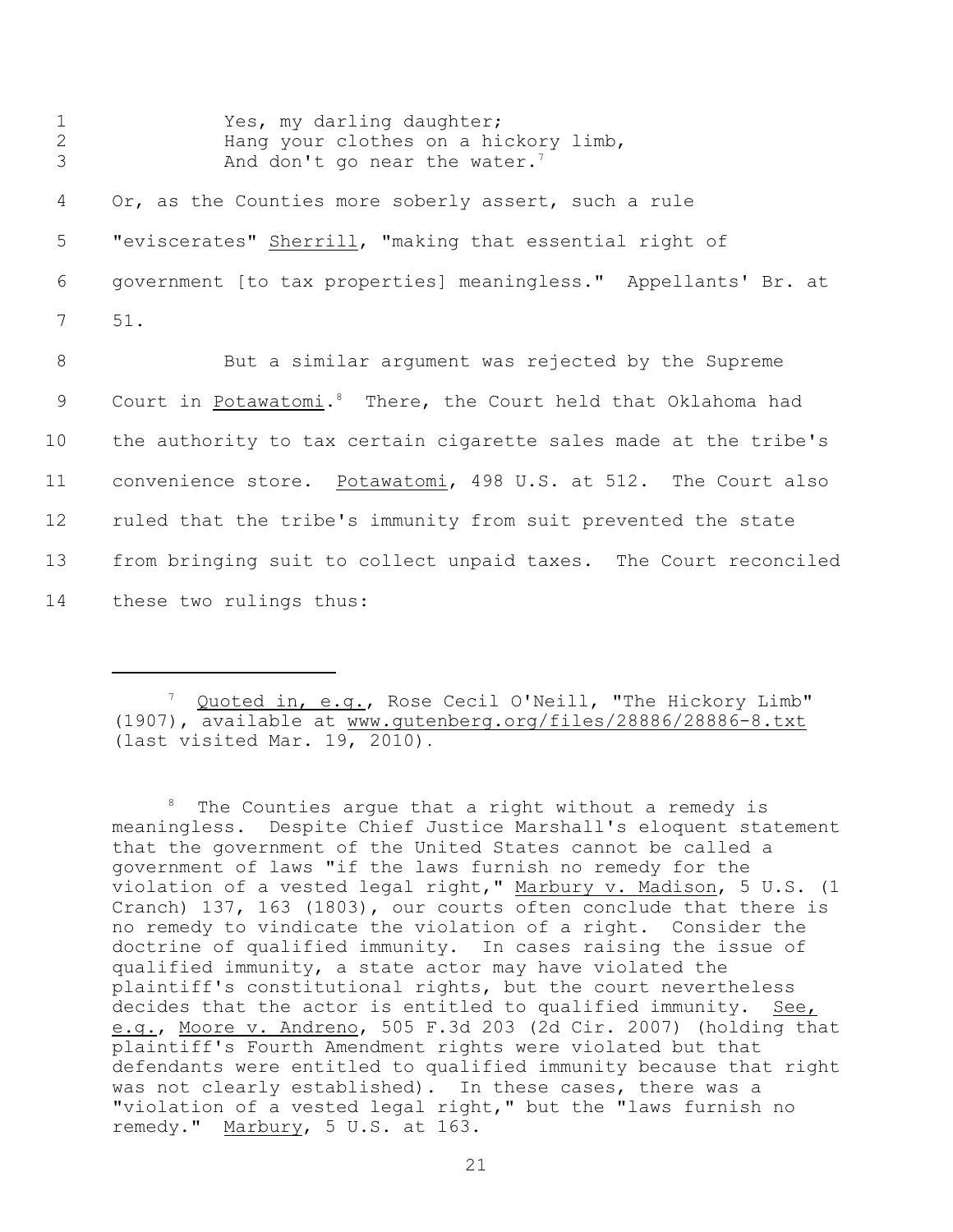| $\mathbf 1$<br>$\overline{2}$<br>3 | Yes, my darling daughter;<br>Hang your clothes on a hickory limb,<br>And don't go near the water. <sup>7</sup> |
|------------------------------------|----------------------------------------------------------------------------------------------------------------|
| 4                                  | Or, as the Counties more soberly assert, such a rule                                                           |
| 5                                  | "eviscerates" Sherrill, "making that essential right of                                                        |
| 6                                  | government [to tax properties] meaningless." Appellants' Br. at                                                |
| $7\overline{ }$                    | 51.                                                                                                            |
| 8                                  | But a similar argument was rejected by the Supreme                                                             |
| 9                                  | Court in Potawatomi. <sup>8</sup> There, the Court held that Oklahoma had                                      |
| 10                                 | the authority to tax certain cigarette sales made at the tribe's                                               |
| 11                                 | convenience store. Potawatomi, 498 U.S. at 512. The Court also                                                 |
| 12                                 | ruled that the tribe's immunity from suit prevented the state                                                  |
| 13                                 | from bringing suit to collect unpaid taxes. The Court reconciled                                               |
| 14                                 | these two rulings thus:                                                                                        |

<sup>7</sup> Quoted in, e.g., Rose Cecil O'Neill, "The Hickory Limb" (1907), available at www.gutenberg.org/files/28886/28886-8.txt (last visited Mar. 19, 2010).

 $8$  The Counties arque that a right without a remedy is meaningless. Despite Chief Justice Marshall's eloquent statement that the government of the United States cannot be called a government of laws "if the laws furnish no remedy for the violation of a vested legal right," Marbury v. Madison, 5 U.S. (1 Cranch) 137, 163 (1803), our courts often conclude that there is no remedy to vindicate the violation of a right. Consider the doctrine of qualified immunity. In cases raising the issue of qualified immunity, a state actor may have violated the plaintiff's constitutional rights, but the court nevertheless decides that the actor is entitled to qualified immunity. See, e.g., Moore v. Andreno, 505 F.3d 203 (2d Cir. 2007) (holding that plaintiff's Fourth Amendment rights were violated but that defendants were entitled to qualified immunity because that right was not clearly established). In these cases, there was a "violation of a vested legal right," but the "laws furnish no remedy." Marbury, 5 U.S. at 163.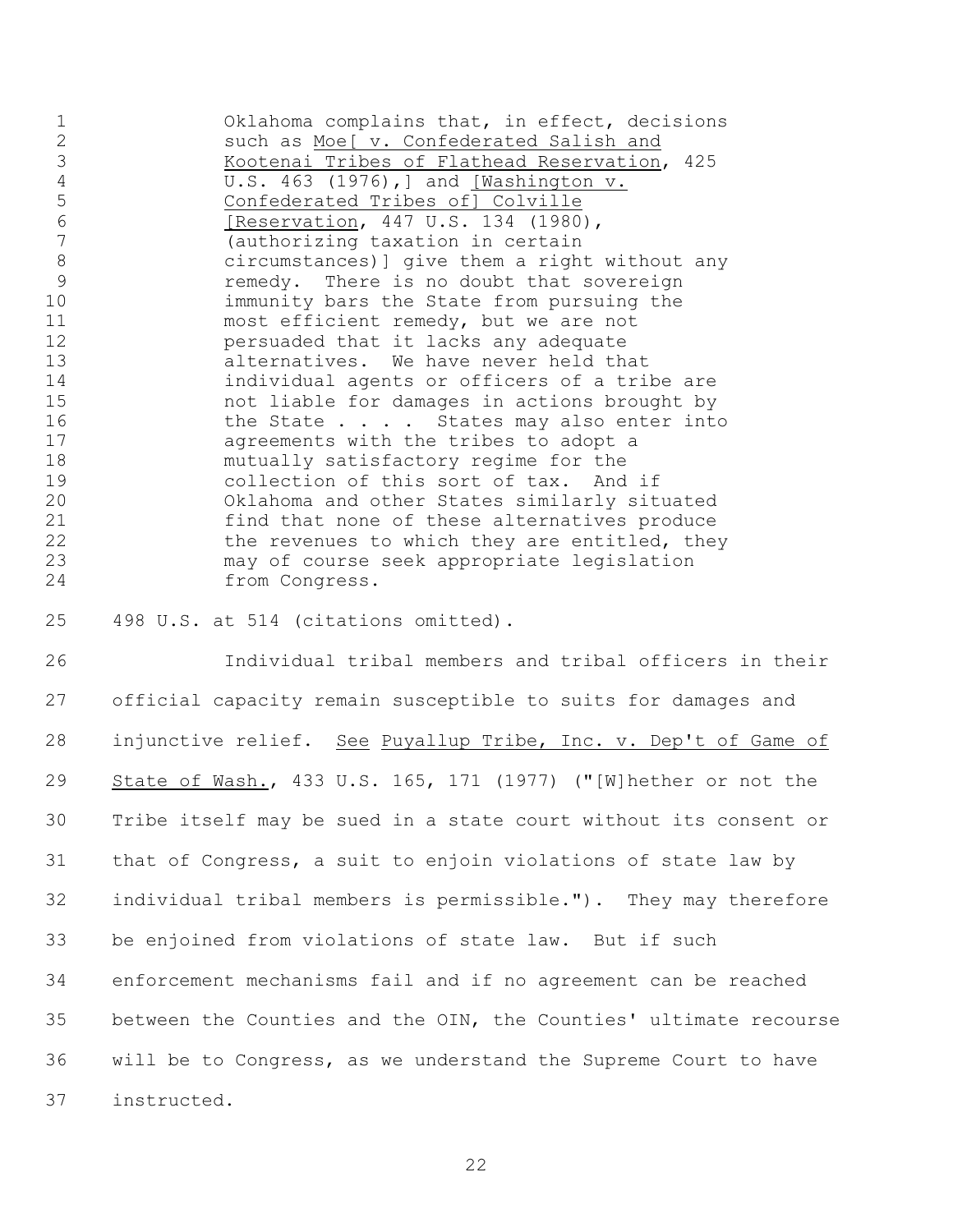Oklahoma complains that, in effect, decisions such as Moe[ v. Confederated Salish and Kootenai Tribes of Flathead Reservation, 425 U.S. 463 (1976),] and [Washington v. Confederated Tribes of] Colville 6 [Reservation, 447 U.S. 134 (1980),<br>7 (authorizing taxation in certain (authorizing taxation in certain circumstances)] give them a right without any remedy. There is no doubt that sovereign immunity bars the State from pursuing the most efficient remedy, but we are not persuaded that it lacks any adequate alternatives. We have never held that individual agents or officers of a tribe are not liable for damages in actions brought by 16 the State . . . . States may also enter into agreements with the tribes to adopt a mutually satisfactory regime for the collection of this sort of tax. And if Oklahoma and other States similarly situated find that none of these alternatives produce 22 the revenues to which they are entitled, they may of course seek appropriate legislation from Congress.

498 U.S. at 514 (citations omitted).

 Individual tribal members and tribal officers in their official capacity remain susceptible to suits for damages and injunctive relief. See Puyallup Tribe, Inc. v. Dep't of Game of State of Wash., 433 U.S. 165, 171 (1977) ("[W]hether or not the Tribe itself may be sued in a state court without its consent or that of Congress, a suit to enjoin violations of state law by individual tribal members is permissible."). They may therefore be enjoined from violations of state law. But if such enforcement mechanisms fail and if no agreement can be reached between the Counties and the OIN, the Counties' ultimate recourse will be to Congress, as we understand the Supreme Court to have instructed.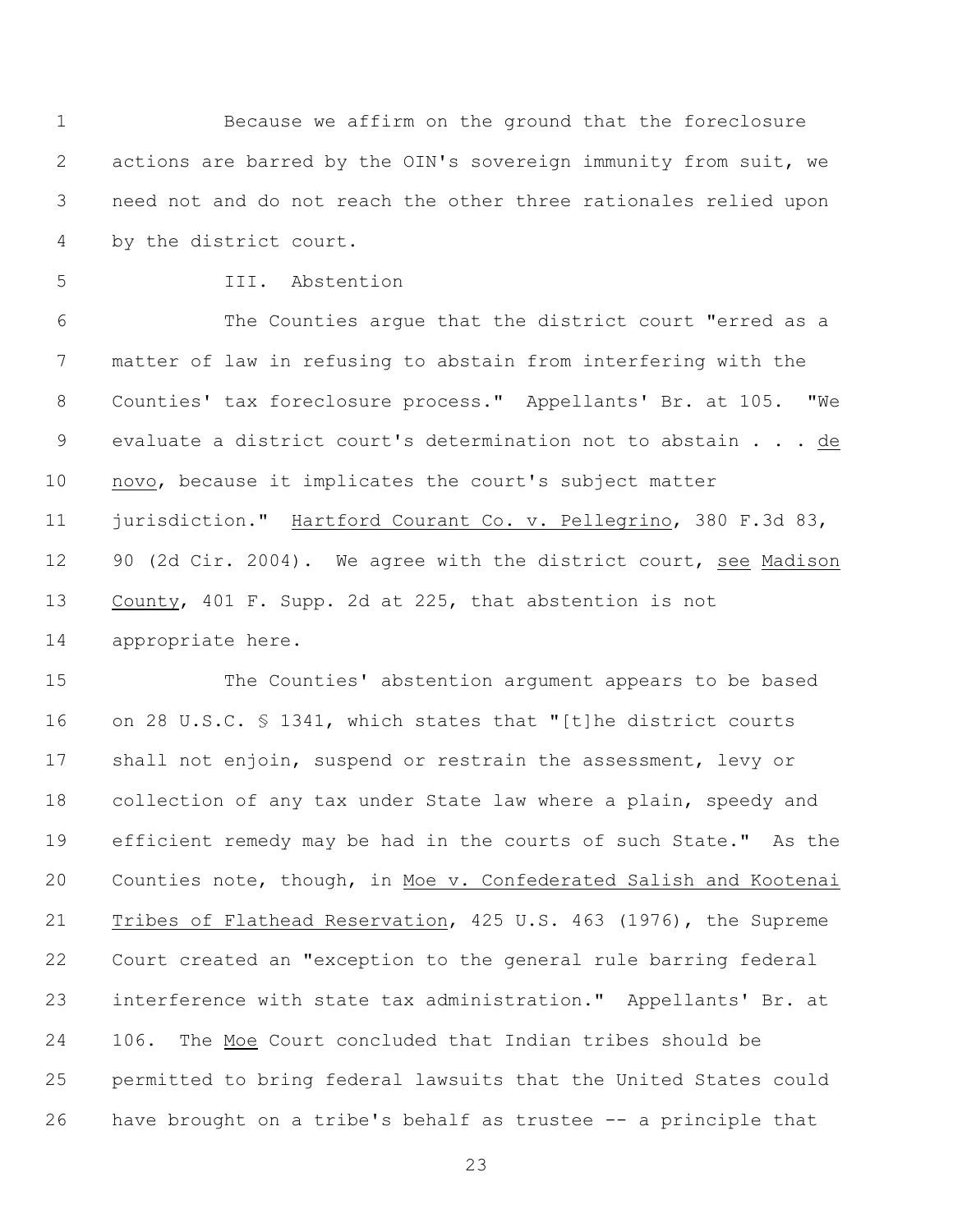Because we affirm on the ground that the foreclosure actions are barred by the OIN's sovereign immunity from suit, we need not and do not reach the other three rationales relied upon by the district court.

## III. Abstention

 The Counties argue that the district court "erred as a matter of law in refusing to abstain from interfering with the Counties' tax foreclosure process." Appellants' Br. at 105. "We evaluate a district court's determination not to abstain . . . de novo, because it implicates the court's subject matter jurisdiction." Hartford Courant Co. v. Pellegrino, 380 F.3d 83, 90 (2d Cir. 2004). We agree with the district court, see Madison County, 401 F. Supp. 2d at 225, that abstention is not appropriate here.

 The Counties' abstention argument appears to be based on 28 U.S.C. § 1341, which states that "[t]he district courts 17 shall not enjoin, suspend or restrain the assessment, levy or collection of any tax under State law where a plain, speedy and efficient remedy may be had in the courts of such State." As the Counties note, though, in Moe v. Confederated Salish and Kootenai Tribes of Flathead Reservation, 425 U.S. 463 (1976), the Supreme Court created an "exception to the general rule barring federal interference with state tax administration." Appellants' Br. at 106. The Moe Court concluded that Indian tribes should be permitted to bring federal lawsuits that the United States could have brought on a tribe's behalf as trustee -- a principle that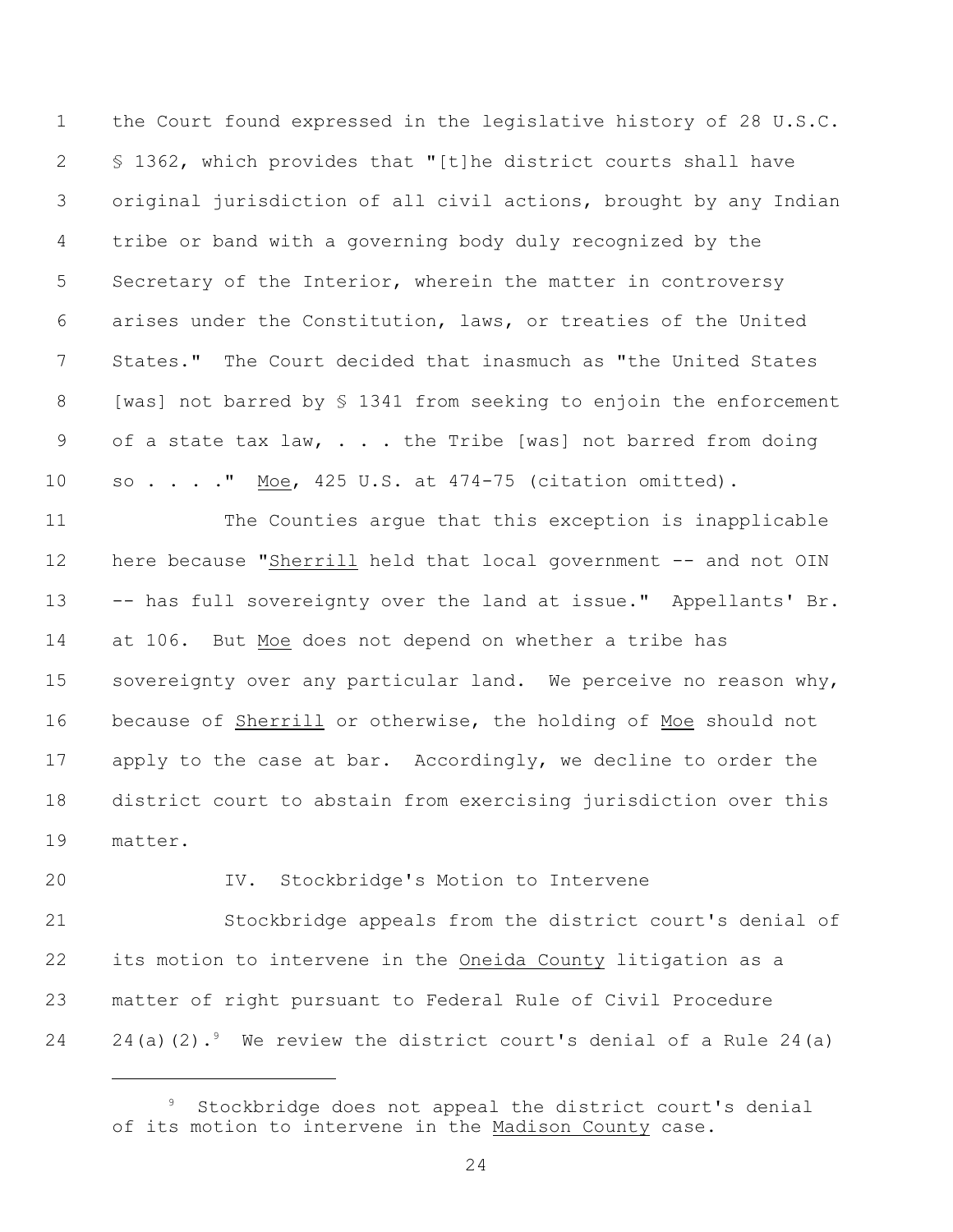the Court found expressed in the legislative history of 28 U.S.C. § 1362, which provides that "[t]he district courts shall have original jurisdiction of all civil actions, brought by any Indian tribe or band with a governing body duly recognized by the 5 Secretary of the Interior, wherein the matter in controversy arises under the Constitution, laws, or treaties of the United States." The Court decided that inasmuch as "the United States [was] not barred by § 1341 from seeking to enjoin the enforcement 9 of a state tax law, . . . the Tribe [was] not barred from doing so . . . ." Moe, 425 U.S. at 474-75 (citation omitted).

 The Counties argue that this exception is inapplicable here because "Sherrill held that local government -- and not OIN -- has full sovereignty over the land at issue." Appellants' Br. at 106. But Moe does not depend on whether a tribe has 15 sovereignty over any particular land. We perceive no reason why, because of Sherrill or otherwise, the holding of Moe should not apply to the case at bar. Accordingly, we decline to order the district court to abstain from exercising jurisdiction over this matter.

### IV. Stockbridge's Motion to Intervene

 Stockbridge appeals from the district court's denial of its motion to intervene in the Oneida County litigation as a matter of right pursuant to Federal Rule of Civil Procedure 24 24(a)(2). We review the district court's denial of a Rule 24(a)

Stockbridge does not appeal the district court's denial of its motion to intervene in the Madison County case.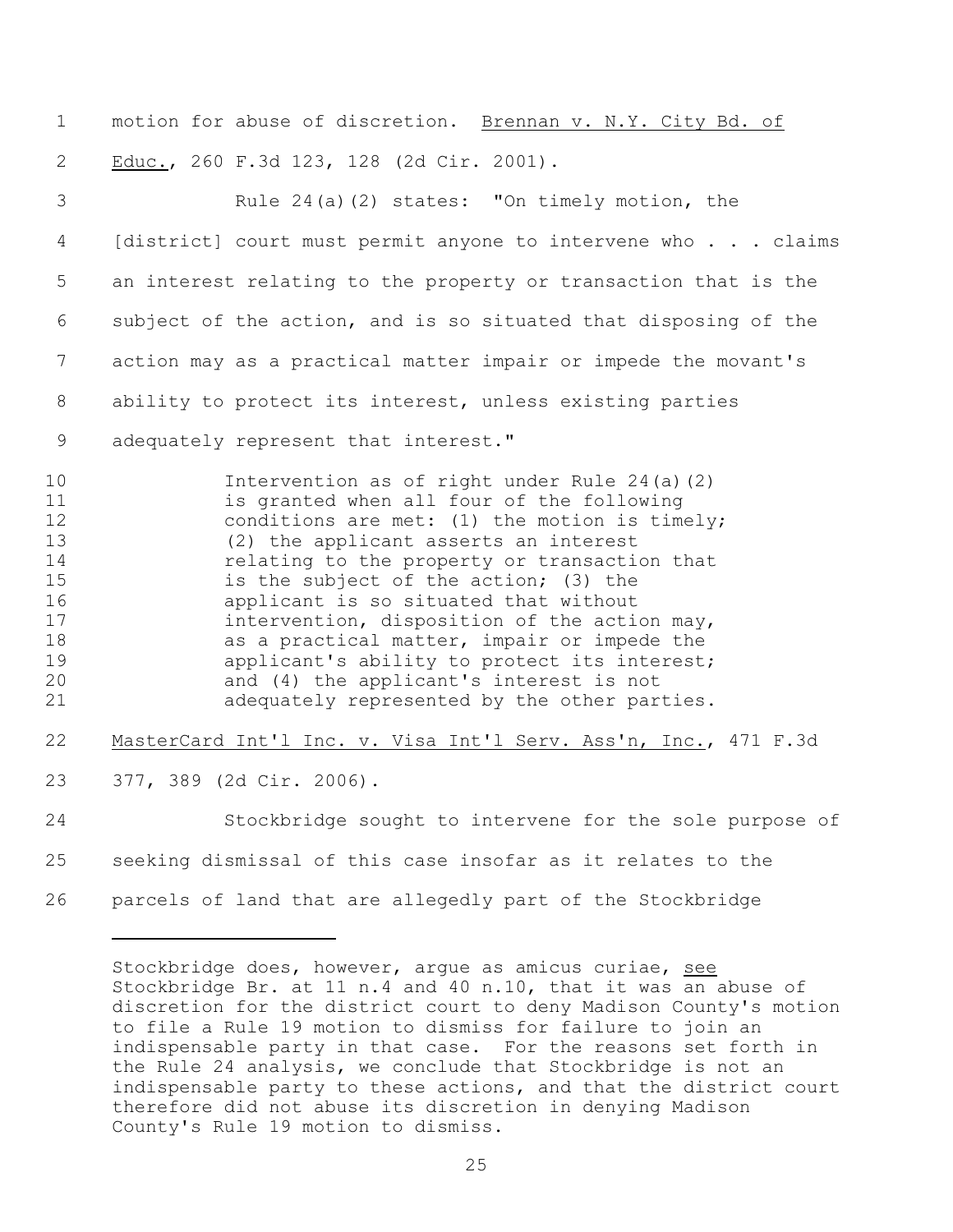1 motion for abuse of discretion. Brennan v. N.Y. City Bd. of Educ., 260 F.3d 123, 128 (2d Cir. 2001).

3 Rule 24(a)(2) states: "On timely motion, the [district] court must permit anyone to intervene who . . . claims an interest relating to the property or transaction that is the subject of the action, and is so situated that disposing of the action may as a practical matter impair or impede the movant's ability to protect its interest, unless existing parties

adequately represent that interest."

 Intervention as of right under Rule 24(a)(2) is granted when all four of the following 12 conditions are met: (1) the motion is timely; (2) the applicant asserts an interest relating to the property or transaction that is the subject of the action; (3) the applicant is so situated that without intervention, disposition of the action may, 18 as a practical matter, impair or impede the **applicant's ability to protect its interest;**  and (4) the applicant's interest is not adequately represented by the other parties.

MasterCard Int'l Inc. v. Visa Int'l Serv. Ass'n, Inc., 471 F.3d

377, 389 (2d Cir. 2006).

 Stockbridge sought to intervene for the sole purpose of seeking dismissal of this case insofar as it relates to the parcels of land that are allegedly part of the Stockbridge

Stockbridge does, however, argue as amicus curiae, see Stockbridge Br. at 11 n.4 and 40 n.10, that it was an abuse of discretion for the district court to deny Madison County's motion to file a Rule 19 motion to dismiss for failure to join an indispensable party in that case. For the reasons set forth in the Rule 24 analysis, we conclude that Stockbridge is not an indispensable party to these actions, and that the district court therefore did not abuse its discretion in denying Madison County's Rule 19 motion to dismiss.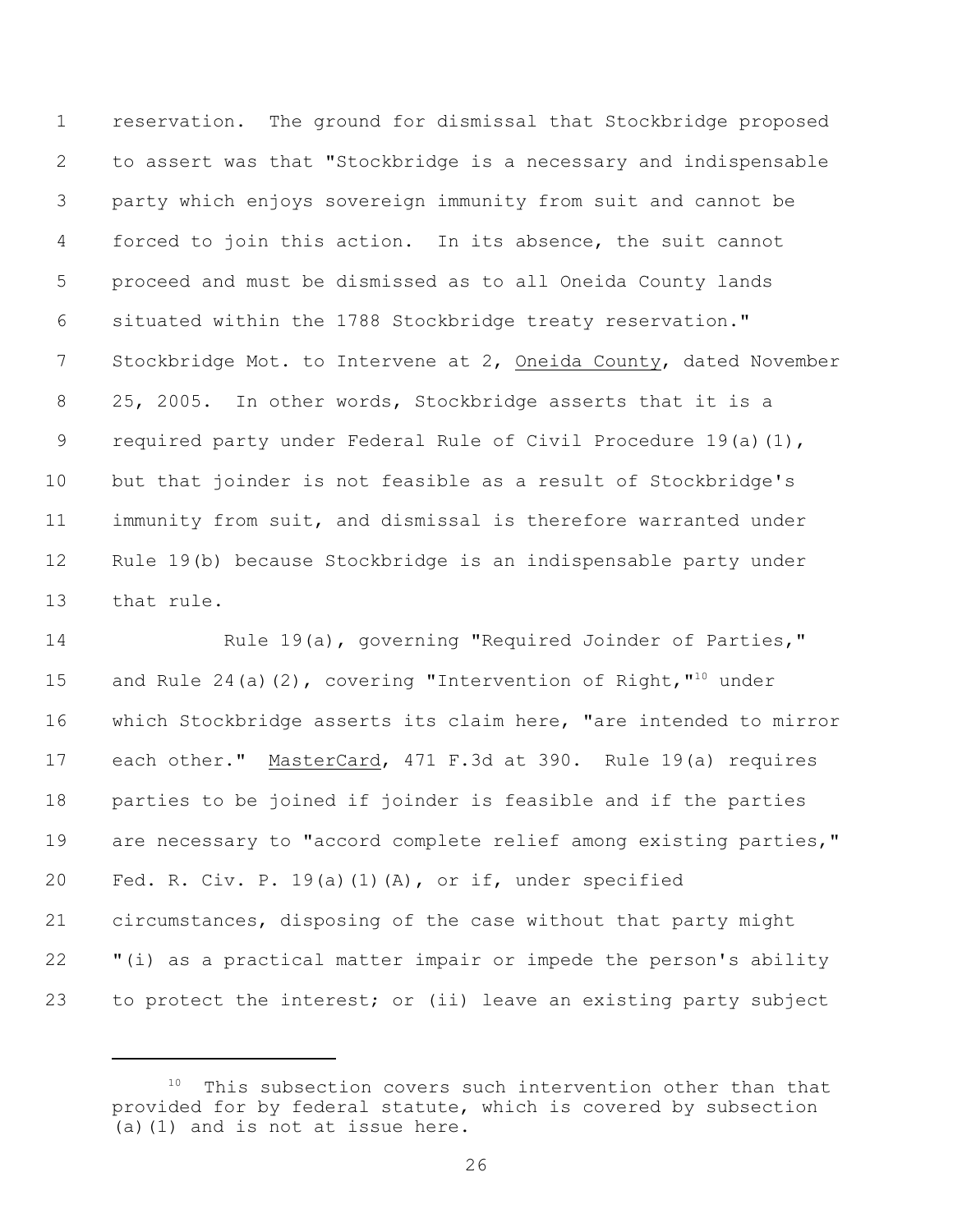reservation. The ground for dismissal that Stockbridge proposed to assert was that "Stockbridge is a necessary and indispensable party which enjoys sovereign immunity from suit and cannot be forced to join this action. In its absence, the suit cannot proceed and must be dismissed as to all Oneida County lands situated within the 1788 Stockbridge treaty reservation." Stockbridge Mot. to Intervene at 2, Oneida County, dated November 25, 2005. In other words, Stockbridge asserts that it is a required party under Federal Rule of Civil Procedure 19(a)(1), but that joinder is not feasible as a result of Stockbridge's immunity from suit, and dismissal is therefore warranted under Rule 19(b) because Stockbridge is an indispensable party under that rule.

 Rule 19(a), governing "Required Joinder of Parties," 15 and Rule 24(a)(2), covering "Intervention of Right,  $10^{\text{10}}$  under which Stockbridge asserts its claim here, "are intended to mirror each other." MasterCard, 471 F.3d at 390. Rule 19(a) requires parties to be joined if joinder is feasible and if the parties 19 are necessary to "accord complete relief among existing parties," Fed. R. Civ. P. 19(a)(1)(A), or if, under specified circumstances, disposing of the case without that party might "(i) as a practical matter impair or impede the person's ability 23 to protect the interest; or (ii) leave an existing party subject

This subsection covers such intervention other than that provided for by federal statute, which is covered by subsection (a)(1) and is not at issue here.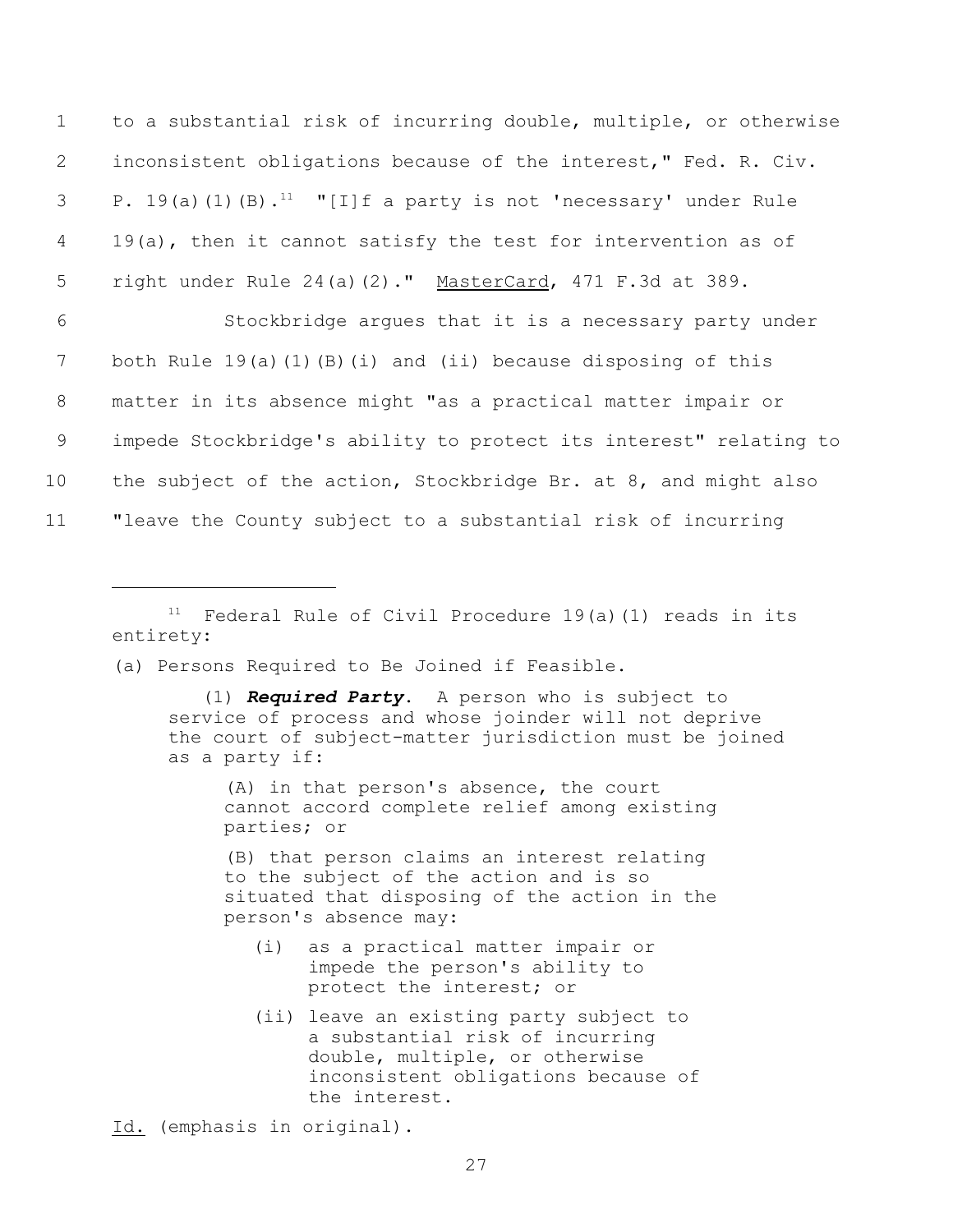to a substantial risk of incurring double, multiple, or otherwise inconsistent obligations because of the interest," Fed. R. Civ. 3 P. 19(a)(1)(B).<sup>11</sup> "[I]f a party is not 'necessary' under Rule 4 19(a), then it cannot satisfy the test for intervention as of right under Rule 24(a)(2)." MasterCard, 471 F.3d at 389. Stockbridge argues that it is a necessary party under 7 both Rule 19(a)(1)(B)(i) and (ii) because disposing of this matter in its absence might "as a practical matter impair or impede Stockbridge's ability to protect its interest" relating to the subject of the action, Stockbridge Br. at 8, and might also "leave the County subject to a substantial risk of incurring

 $11$  Federal Rule of Civil Procedure 19(a)(1) reads in its entirety:

(a) Persons Required to Be Joined if Feasible.

 (1) *Required Party*. A person who is subject to service of process and whose joinder will not deprive the court of subject-matter jurisdiction must be joined as a party if:

(A) in that person's absence, the court cannot accord complete relief among existing parties; or

(B) that person claims an interest relating to the subject of the action and is so situated that disposing of the action in the person's absence may:

- (i) as a practical matter impair or impede the person's ability to protect the interest; or
- (ii) leave an existing party subject to a substantial risk of incurring double, multiple, or otherwise inconsistent obligations because of the interest.

Id. (emphasis in original).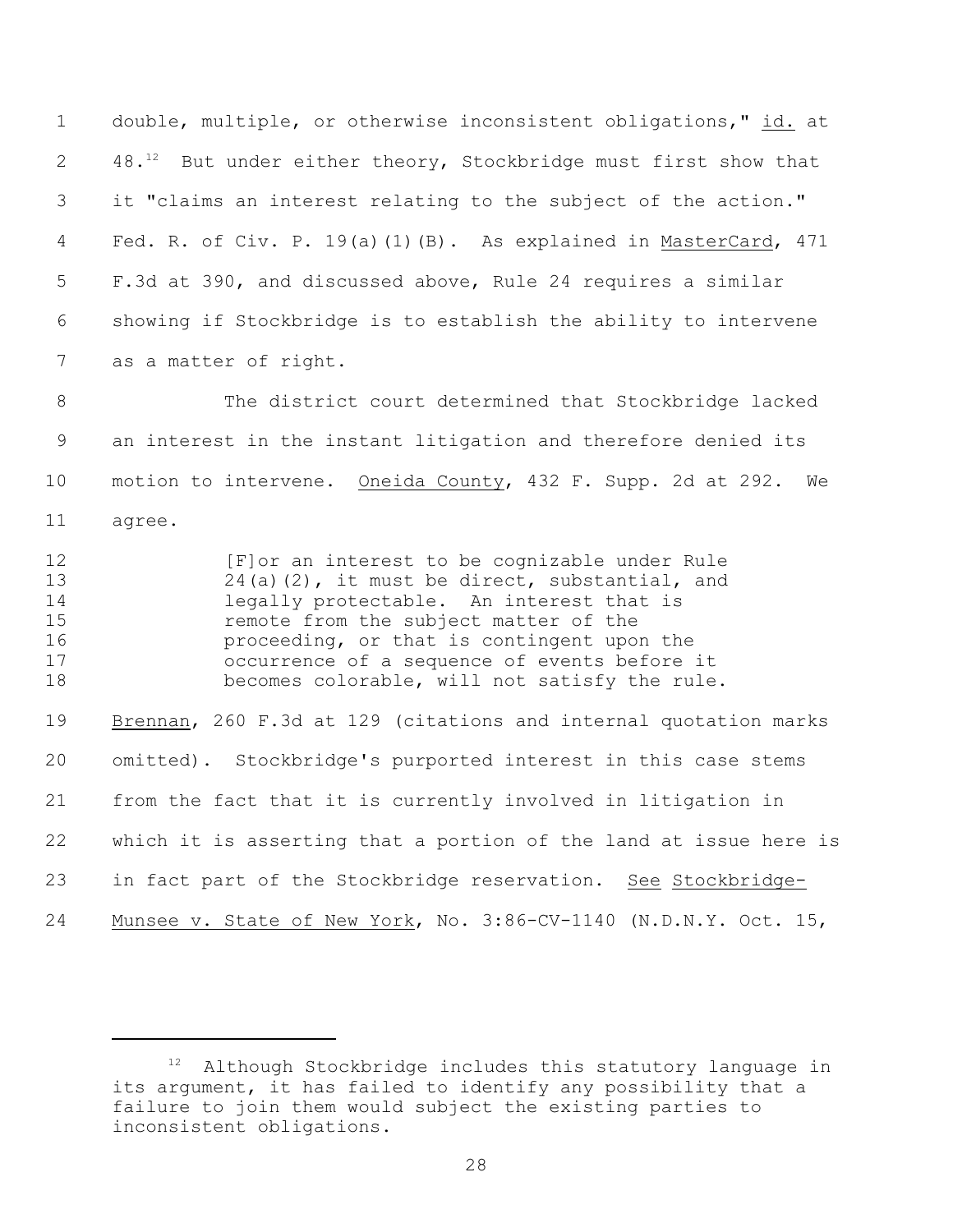double, multiple, or otherwise inconsistent obligations," id. at 2 48. $^{12}$  But under either theory, Stockbridge must first show that it "claims an interest relating to the subject of the action." Fed. R. of Civ. P. 19(a)(1)(B). As explained in MasterCard, 471 F.3d at 390, and discussed above, Rule 24 requires a similar showing if Stockbridge is to establish the ability to intervene as a matter of right.

 The district court determined that Stockbridge lacked an interest in the instant litigation and therefore denied its motion to intervene. Oneida County, 432 F. Supp. 2d at 292. We agree.

**Example 12** [F]or an interest to be cognizable under Rule 24(a)(2), it must be direct, substantial, and legally protectable. An interest that is remote from the subject matter of the proceeding, or that is contingent upon the occurrence of a sequence of events before it becomes colorable, will not satisfy the rule. 19 Brennan, 260 F.3d at 129 (citations and internal quotation marks omitted). Stockbridge's purported interest in this case stems from the fact that it is currently involved in litigation in which it is asserting that a portion of the land at issue here is

in fact part of the Stockbridge reservation. See Stockbridge-

Munsee v. State of New York, No. 3:86-CV-1140 (N.D.N.Y. Oct. 15,

Although Stockbridge includes this statutory language in its argument, it has failed to identify any possibility that a failure to join them would subject the existing parties to inconsistent obligations.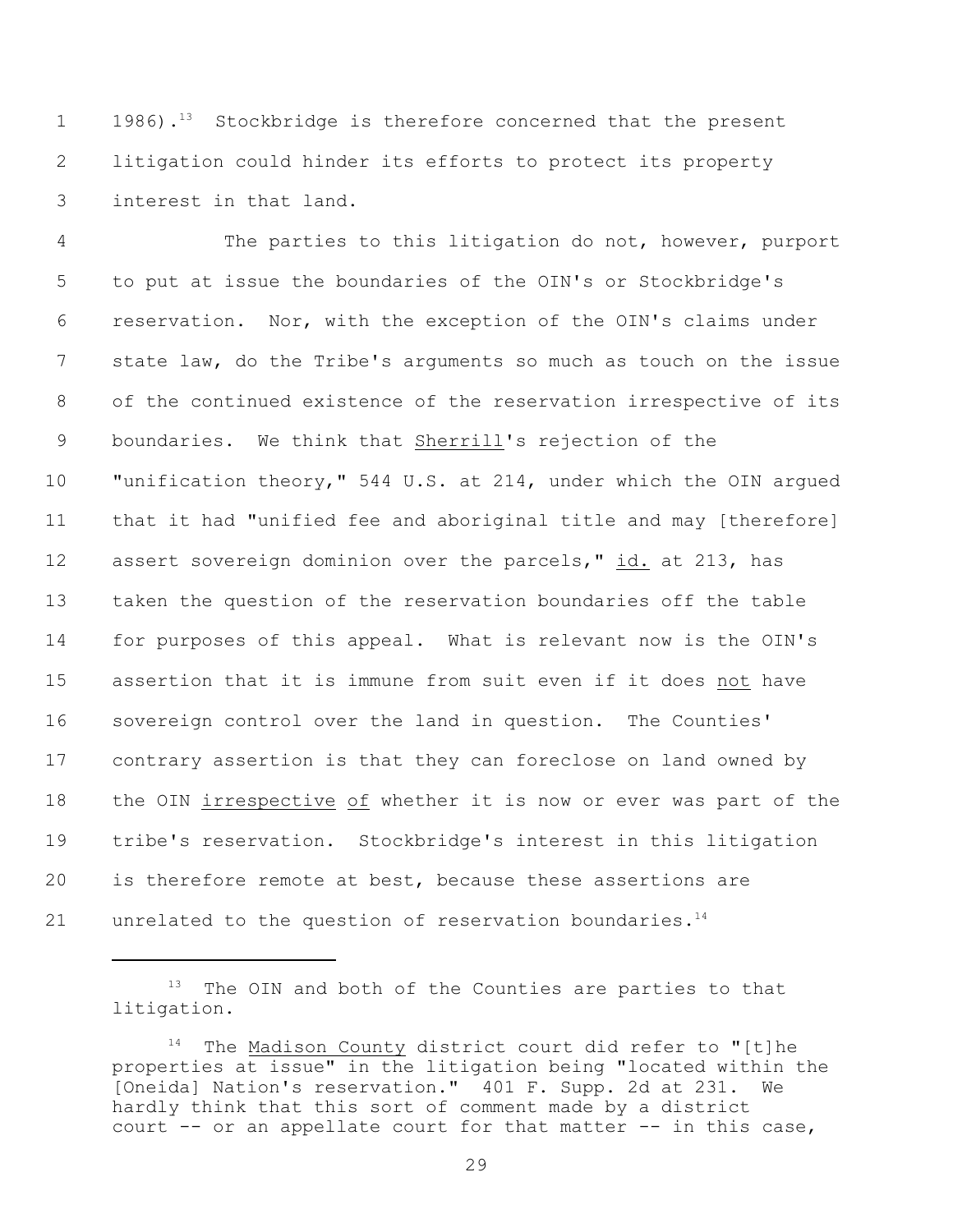1 1986).<sup>13</sup> Stockbridge is therefore concerned that the present litigation could hinder its efforts to protect its property interest in that land.

 The parties to this litigation do not, however, purport to put at issue the boundaries of the OIN's or Stockbridge's reservation. Nor, with the exception of the OIN's claims under state law, do the Tribe's arguments so much as touch on the issue of the continued existence of the reservation irrespective of its boundaries. We think that Sherrill's rejection of the "unification theory," 544 U.S. at 214, under which the OIN argued that it had "unified fee and aboriginal title and may [therefore] assert sovereign dominion over the parcels," id. at 213, has taken the question of the reservation boundaries off the table for purposes of this appeal. What is relevant now is the OIN's assertion that it is immune from suit even if it does not have sovereign control over the land in question. The Counties' contrary assertion is that they can foreclose on land owned by the OIN irrespective of whether it is now or ever was part of the tribe's reservation. Stockbridge's interest in this litigation is therefore remote at best, because these assertions are 21 unrelated to the question of reservation boundaries.<sup>14</sup>

 The OIN and both of the Counties are parties to that litigation.

The Madison County district court did refer to "[t]he properties at issue" in the litigation being "located within the [Oneida] Nation's reservation." 401 F. Supp. 2d at 231. We hardly think that this sort of comment made by a district court -- or an appellate court for that matter -- in this case,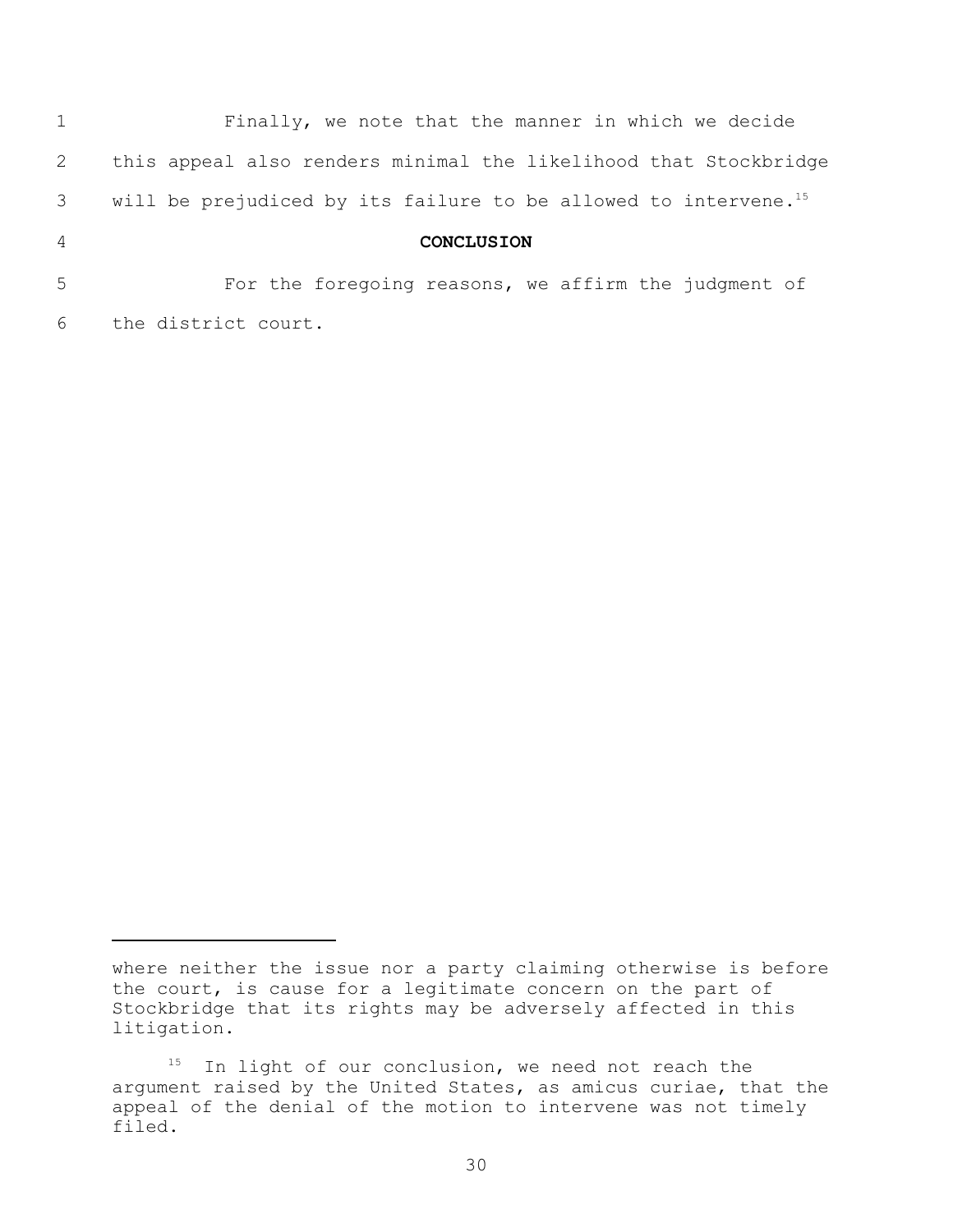|                | Finally, we note that the manner in which we decide                         |
|----------------|-----------------------------------------------------------------------------|
| 2              | this appeal also renders minimal the likelihood that Stockbridge            |
| 3 <sup>7</sup> | will be prejudiced by its failure to be allowed to intervene. <sup>15</sup> |
| $\overline{4}$ | <b>CONCLUSION</b>                                                           |
| 5              | For the foregoing reasons, we affirm the judgment of                        |
| 6              | the district court.                                                         |

where neither the issue nor a party claiming otherwise is before the court, is cause for a legitimate concern on the part of Stockbridge that its rights may be adversely affected in this litigation.

 $15$  In light of our conclusion, we need not reach the argument raised by the United States, as amicus curiae, that the appeal of the denial of the motion to intervene was not timely filed.